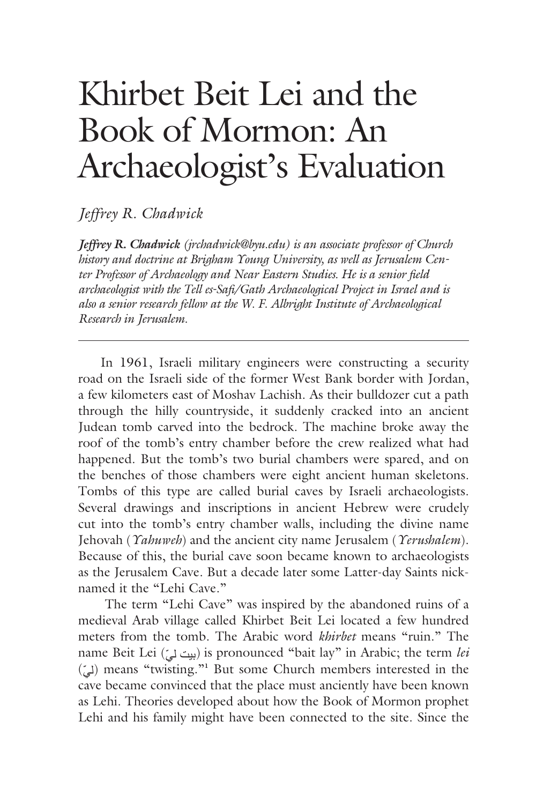# Khirbet Beit Lei and the Book of Mormon: An Archaeologist's Evaluation

*Jeffrey R. Chadwick*

*Jeffrey R. Chadwick (jrchadwick@byu.edu) is an associate professor of Church history and doctrine at Brigham Young University, as well as Jerusalem Center Professor of Archaeology and Near Eastern Studies. He is a senior field archaeologist with the Tell es-Safi/Gath Archaeological Project in Israel and is also a senior research fellow at the W. F. Albright Institute of Archaeological Research in Jerusalem.*

In 1961, Israeli military engineers were constructing a security road on the Israeli side of the former West Bank border with Jordan, a few kilometers east of Moshav Lachish. As their bulldozer cut a path through the hilly countryside, it suddenly cracked into an ancient Judean tomb carved into the bedrock. The machine broke away the roof of the tomb's entry chamber before the crew realized what had happened. But the tomb's two burial chambers were spared, and on the benches of those chambers were eight ancient human skeletons. Tombs of this type are called burial caves by Israeli archaeologists. Several drawings and inscriptions in ancient Hebrew were crudely cut into the tomb's entry chamber walls, including the divine name Jehovah (*Yahuweh*) and the ancient city name Jerusalem (*Yerushalem*). Because of this, the burial cave soon became known to archaeologists as the Jerusalem Cave. But a decade later some Latter-day Saints nicknamed it the "Lehi Cave."

 The term "Lehi Cave" was inspired by the abandoned ruins of a medieval Arab village called Khirbet Beit Lei located a few hundred meters from the tomb. The Arabic word *khirbet* means "ruin." The name Beit Lei (بيت ل<sub>م</sub>) is pronounced "bait lay" in Arabic; the term *lei* (ّلي (means "twisting."**<sup>1</sup>** But some Church members interested in the cave became convinced that the place must anciently have been known as Lehi. Theories developed about how the Book of Mormon prophet Lehi and his family might have been connected to the site. Since the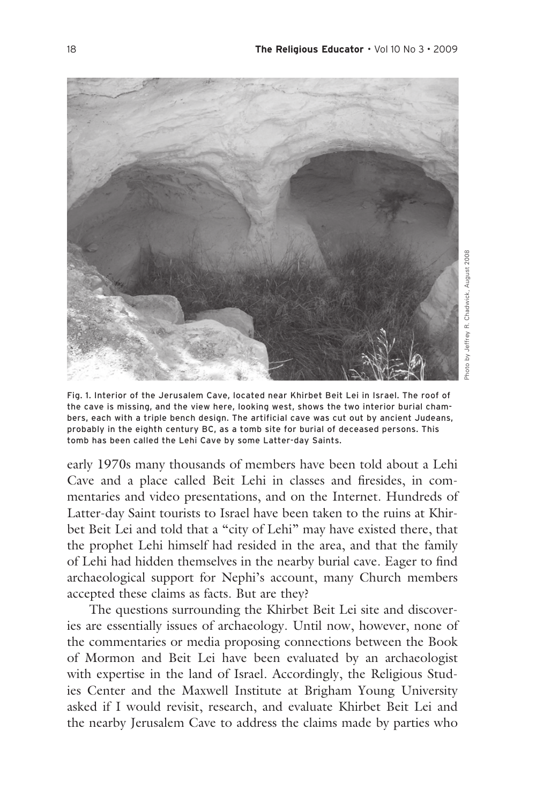

Fig. 1. Interior of the Jerusalem Cave, located near Khirbet Beit Lei in Israel. The roof of the cave is missing, and the view here, looking west, shows the two interior burial chambers, each with a triple bench design. The artificial cave was cut out by ancient Judeans, probably in the eighth century BC, as a tomb site for burial of deceased persons. This tomb has been called the Lehi Cave by some Latter-day Saints.

early 1970s many thousands of members have been told about a Lehi Cave and a place called Beit Lehi in classes and firesides, in commentaries and video presentations, and on the Internet. Hundreds of Latter-day Saint tourists to Israel have been taken to the ruins at Khirbet Beit Lei and told that a "city of Lehi" may have existed there, that the prophet Lehi himself had resided in the area, and that the family of Lehi had hidden themselves in the nearby burial cave. Eager to find archaeological support for Nephi's account, many Church members accepted these claims as facts. But are they?

The questions surrounding the Khirbet Beit Lei site and discoveries are essentially issues of archaeology. Until now, however, none of the commentaries or media proposing connections between the Book of Mormon and Beit Lei have been evaluated by an archaeologist with expertise in the land of Israel. Accordingly, the Religious Studies Center and the Maxwell Institute at Brigham Young University asked if I would revisit, research, and evaluate Khirbet Beit Lei and the nearby Jerusalem Cave to address the claims made by parties who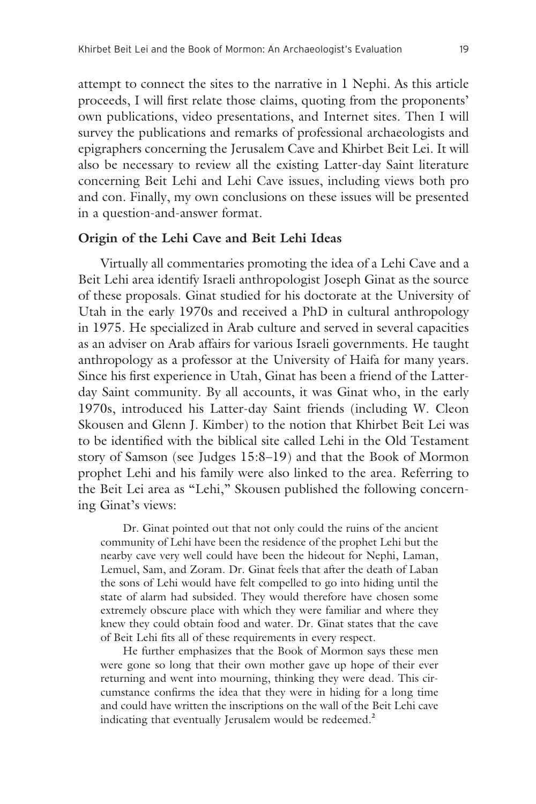attempt to connect the sites to the narrative in 1 Nephi. As this article proceeds, I will first relate those claims, quoting from the proponents' own publications, video presentations, and Internet sites. Then I will survey the publications and remarks of professional archaeologists and epigraphers concerning the Jerusalem Cave and Khirbet Beit Lei. It will also be necessary to review all the existing Latter-day Saint literature concerning Beit Lehi and Lehi Cave issues, including views both pro and con. Finally, my own conclusions on these issues will be presented in a question-and-answer format.

## **Origin of the Lehi Cave and Beit Lehi Ideas**

Virtually all commentaries promoting the idea of a Lehi Cave and a Beit Lehi area identify Israeli anthropologist Joseph Ginat as the source of these proposals. Ginat studied for his doctorate at the University of Utah in the early 1970s and received a PhD in cultural anthropology in 1975. He specialized in Arab culture and served in several capacities as an adviser on Arab affairs for various Israeli governments. He taught anthropology as a professor at the University of Haifa for many years. Since his first experience in Utah, Ginat has been a friend of the Latterday Saint community. By all accounts, it was Ginat who, in the early 1970s, introduced his Latter-day Saint friends (including W. Cleon Skousen and Glenn J. Kimber) to the notion that Khirbet Beit Lei was to be identified with the biblical site called Lehi in the Old Testament story of Samson (see Judges 15:8–19) and that the Book of Mormon prophet Lehi and his family were also linked to the area. Referring to the Beit Lei area as "Lehi," Skousen published the following concerning Ginat's views:

Dr. Ginat pointed out that not only could the ruins of the ancient community of Lehi have been the residence of the prophet Lehi but the nearby cave very well could have been the hideout for Nephi, Laman, Lemuel, Sam, and Zoram. Dr. Ginat feels that after the death of Laban the sons of Lehi would have felt compelled to go into hiding until the state of alarm had subsided. They would therefore have chosen some extremely obscure place with which they were familiar and where they knew they could obtain food and water. Dr. Ginat states that the cave of Beit Lehi fits all of these requirements in every respect.

He further emphasizes that the Book of Mormon says these men were gone so long that their own mother gave up hope of their ever returning and went into mourning, thinking they were dead. This circumstance confirms the idea that they were in hiding for a long time and could have written the inscriptions on the wall of the Beit Lehi cave indicating that eventually Jerusalem would be redeemed.**<sup>2</sup>**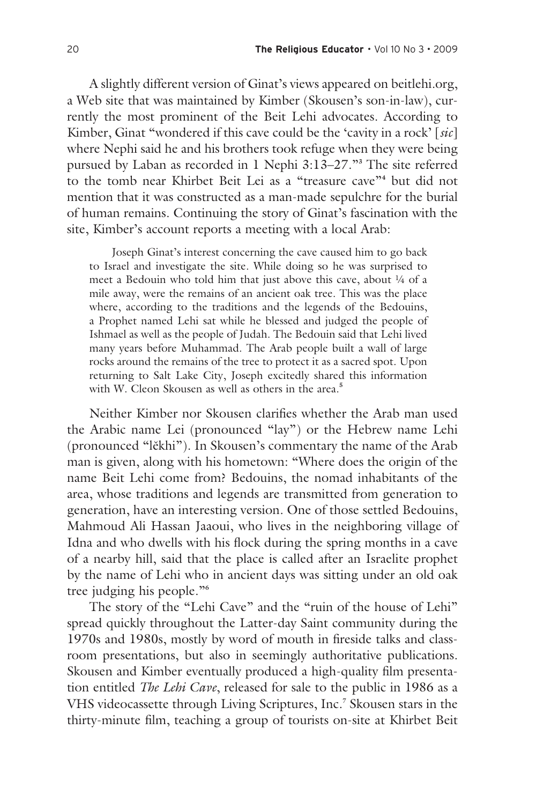A slightly different version of Ginat's views appeared on beitlehi.org, a Web site that was maintained by Kimber (Skousen's son-in-law), currently the most prominent of the Beit Lehi advocates. According to Kimber, Ginat "wondered if this cave could be the 'cavity in a rock' [*sic*] where Nephi said he and his brothers took refuge when they were being pursued by Laban as recorded in 1 Nephi 3:13–27."**<sup>3</sup>** The site referred to the tomb near Khirbet Beit Lei as a "treasure cave"**<sup>4</sup>** but did not mention that it was constructed as a man-made sepulchre for the burial of human remains. Continuing the story of Ginat's fascination with the site, Kimber's account reports a meeting with a local Arab:

Joseph Ginat's interest concerning the cave caused him to go back to Israel and investigate the site. While doing so he was surprised to meet a Bedouin who told him that just above this cave, about 1/4 of a mile away, were the remains of an ancient oak tree. This was the place where, according to the traditions and the legends of the Bedouins, a Prophet named Lehi sat while he blessed and judged the people of Ishmael as well as the people of Judah. The Bedouin said that Lehi lived many years before Muhammad. The Arab people built a wall of large rocks around the remains of the tree to protect it as a sacred spot. Upon returning to Salt Lake City, Joseph excitedly shared this information with W. Cleon Skousen as well as others in the area.**<sup>5</sup>**

Neither Kimber nor Skousen clarifies whether the Arab man used the Arabic name Lei (pronounced "lay") or the Hebrew name Lehi (pronounced "lěkhi"). In Skousen's commentary the name of the Arab man is given, along with his hometown: "Where does the origin of the name Beit Lehi come from? Bedouins, the nomad inhabitants of the area, whose traditions and legends are transmitted from generation to generation, have an interesting version. One of those settled Bedouins, Mahmoud Ali Hassan Jaaoui, who lives in the neighboring village of Idna and who dwells with his flock during the spring months in a cave of a nearby hill, said that the place is called after an Israelite prophet by the name of Lehi who in ancient days was sitting under an old oak tree judging his people."**<sup>6</sup>**

The story of the "Lehi Cave" and the "ruin of the house of Lehi" spread quickly throughout the Latter-day Saint community during the 1970s and 1980s, mostly by word of mouth in fireside talks and classroom presentations, but also in seemingly authoritative publications. Skousen and Kimber eventually produced a high-quality film presentation entitled *The Lehi Cave*, released for sale to the public in 1986 as a VHS videocassette through Living Scriptures, Inc.**<sup>7</sup>** Skousen stars in the thirty-minute film, teaching a group of tourists on-site at Khirbet Beit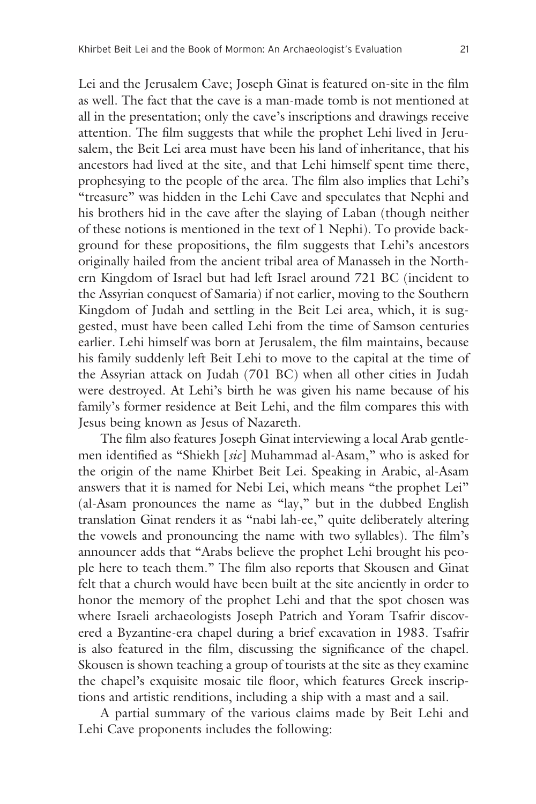Lei and the Jerusalem Cave; Joseph Ginat is featured on-site in the film as well. The fact that the cave is a man-made tomb is not mentioned at all in the presentation; only the cave's inscriptions and drawings receive attention. The film suggests that while the prophet Lehi lived in Jerusalem, the Beit Lei area must have been his land of inheritance, that his ancestors had lived at the site, and that Lehi himself spent time there, prophesying to the people of the area. The film also implies that Lehi's "treasure" was hidden in the Lehi Cave and speculates that Nephi and his brothers hid in the cave after the slaying of Laban (though neither of these notions is mentioned in the text of 1 Nephi). To provide background for these propositions, the film suggests that Lehi's ancestors originally hailed from the ancient tribal area of Manasseh in the Northern Kingdom of Israel but had left Israel around 721 BC (incident to the Assyrian conquest of Samaria) if not earlier, moving to the Southern Kingdom of Judah and settling in the Beit Lei area, which, it is suggested, must have been called Lehi from the time of Samson centuries earlier. Lehi himself was born at Jerusalem, the film maintains, because his family suddenly left Beit Lehi to move to the capital at the time of the Assyrian attack on Judah (701 BC) when all other cities in Judah were destroyed. At Lehi's birth he was given his name because of his family's former residence at Beit Lehi, and the film compares this with Jesus being known as Jesus of Nazareth.

The film also features Joseph Ginat interviewing a local Arab gentlemen identified as "Shiekh [*sic*] Muhammad al-Asam," who is asked for the origin of the name Khirbet Beit Lei. Speaking in Arabic, al-Asam answers that it is named for Nebi Lei, which means "the prophet Lei" (al-Asam pronounces the name as "lay," but in the dubbed English translation Ginat renders it as "nabi lah-ee," quite deliberately altering the vowels and pronouncing the name with two syllables). The film's announcer adds that "Arabs believe the prophet Lehi brought his people here to teach them." The film also reports that Skousen and Ginat felt that a church would have been built at the site anciently in order to honor the memory of the prophet Lehi and that the spot chosen was where Israeli archaeologists Joseph Patrich and Yoram Tsafrir discovered a Byzantine-era chapel during a brief excavation in 1983. Tsafrir is also featured in the film, discussing the significance of the chapel. Skousen is shown teaching a group of tourists at the site as they examine the chapel's exquisite mosaic tile floor, which features Greek inscriptions and artistic renditions, including a ship with a mast and a sail.

A partial summary of the various claims made by Beit Lehi and Lehi Cave proponents includes the following: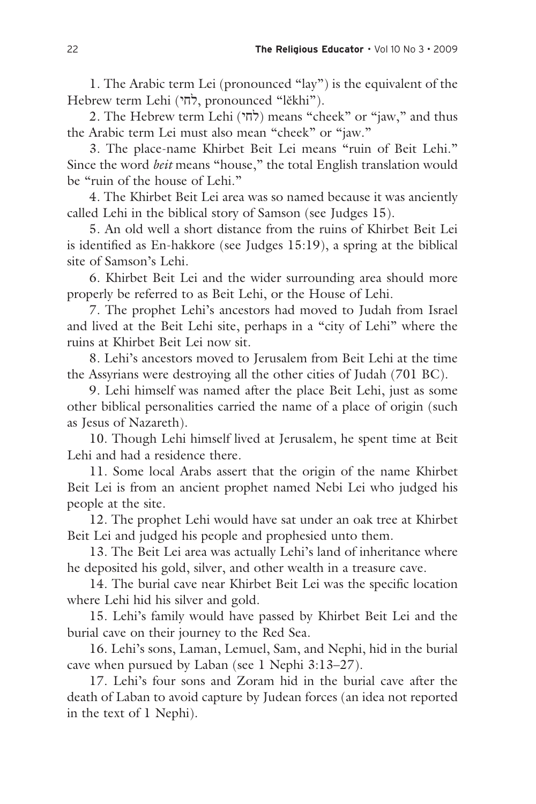1. The Arabic term Lei (pronounced "lay") is the equivalent of the Hebrew term Lehi (לחי, pronounced "lěkhi").

2. The Hebrew term Lehi (לחי) means "cheek" or "jaw," and thus the Arabic term Lei must also mean "cheek" or "jaw."

3. The place-name Khirbet Beit Lei means "ruin of Beit Lehi." Since the word *beit* means "house," the total English translation would be "ruin of the house of Lehi."

4. The Khirbet Beit Lei area was so named because it was anciently called Lehi in the biblical story of Samson (see Judges 15).

5. An old well a short distance from the ruins of Khirbet Beit Lei is identified as En-hakkore (see Judges 15:19), a spring at the biblical site of Samson's Lehi.

6. Khirbet Beit Lei and the wider surrounding area should more properly be referred to as Beit Lehi, or the House of Lehi.

7. The prophet Lehi's ancestors had moved to Judah from Israel and lived at the Beit Lehi site, perhaps in a "city of Lehi" where the ruins at Khirbet Beit Lei now sit.

8. Lehi's ancestors moved to Jerusalem from Beit Lehi at the time the Assyrians were destroying all the other cities of Judah (701 BC).

9. Lehi himself was named after the place Beit Lehi, just as some other biblical personalities carried the name of a place of origin (such as Jesus of Nazareth).

10. Though Lehi himself lived at Jerusalem, he spent time at Beit Lehi and had a residence there.

11. Some local Arabs assert that the origin of the name Khirbet Beit Lei is from an ancient prophet named Nebi Lei who judged his people at the site.

12. The prophet Lehi would have sat under an oak tree at Khirbet Beit Lei and judged his people and prophesied unto them.

13. The Beit Lei area was actually Lehi's land of inheritance where he deposited his gold, silver, and other wealth in a treasure cave.

14. The burial cave near Khirbet Beit Lei was the specific location where Lehi hid his silver and gold.

15. Lehi's family would have passed by Khirbet Beit Lei and the burial cave on their journey to the Red Sea.

16. Lehi's sons, Laman, Lemuel, Sam, and Nephi, hid in the burial cave when pursued by Laban (see 1 Nephi 3:13–27).

17. Lehi's four sons and Zoram hid in the burial cave after the death of Laban to avoid capture by Judean forces (an idea not reported in the text of 1 Nephi).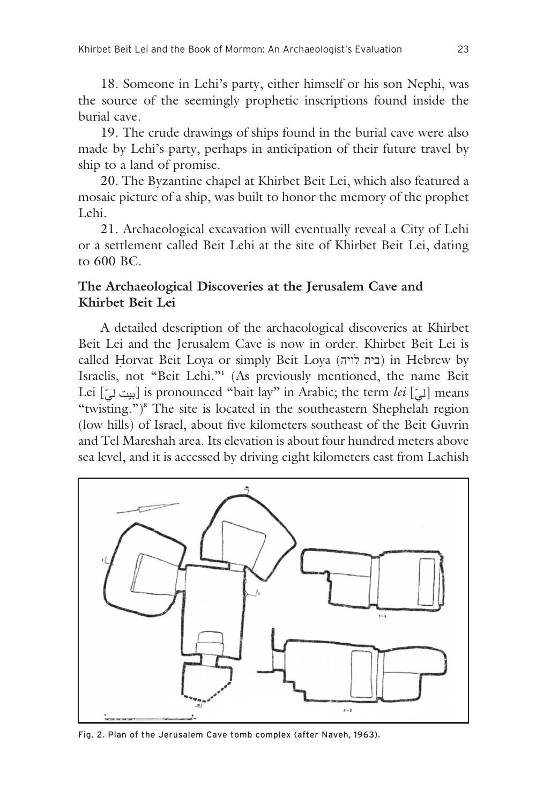18. Someone in Lehi's party, either himself or his son Nephi, was the source of the seemingly prophetic inscriptions found inside the burial cave.

19. The crude drawings of ships found in the burial cave were also made by Lehi's party, perhaps in anticipation of their future travel by ship to a land of promise.

20. The Byzantine chapel at Khirbet Beit Lei, which also featured a mosaic picture of a ship, was built to honor the memory of the prophet Lehi.

21. Archaeological excavation will eventually reveal a City of Lehi or a settlement called Beit Lehi at the site of Khirbet Beit Lei, dating to 600 BC.

## **The Archaeological Discoveries at the Jerusalem Cave and Khirbet Beit Lei**

A detailed description of the archaeological discoveries at Khirbet Beit Lei and the Jerusalem Cave is now in order. Khirbet Beit Lei is called H orvat Beit Loya or simply Beit Loya (לויה בית (in Hebrew by ˙ Israelis, not "Beit Lehi."**<sup>1</sup>** (As previously mentioned, the name Beit Lei  $\left[\begin{smallmatrix} * & * & * \ * \\ * & * & * \end{smallmatrix}\right]$  is pronounced "bait lay" in Arabic; the term *lei*  $\left[\begin{smallmatrix} * & * & * \ * \\ * & * & * \end{smallmatrix}\right]$  means "twisting.")**<sup>8</sup>** The site is located in the southeastern Shephelah region (low hills) of Israel, about five kilometers southeast of the Beit Guvrin and Tel Mareshah area. Its elevation is about four hundred meters above sea level, and it is accessed by driving eight kilometers east from Lachish



Fig. 2. Plan of the Jerusalem Cave tomb complex (after Naveh, 1963).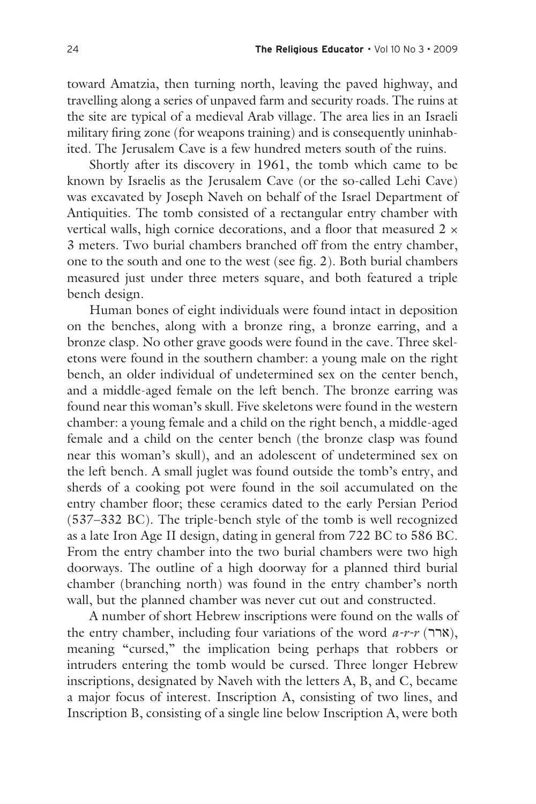toward Amatzia, then turning north, leaving the paved highway, and travelling along a series of unpaved farm and security roads. The ruins at the site are typical of a medieval Arab village. The area lies in an Israeli military firing zone (for weapons training) and is consequently uninhabited. The Jerusalem Cave is a few hundred meters south of the ruins.

Shortly after its discovery in 1961, the tomb which came to be known by Israelis as the Jerusalem Cave (or the so-called Lehi Cave) was excavated by Joseph Naveh on behalf of the Israel Department of Antiquities. The tomb consisted of a rectangular entry chamber with vertical walls, high cornice decorations, and a floor that measured  $2 \times$ 3 meters. Two burial chambers branched off from the entry chamber, one to the south and one to the west (see fig. 2). Both burial chambers measured just under three meters square, and both featured a triple bench design.

Human bones of eight individuals were found intact in deposition on the benches, along with a bronze ring, a bronze earring, and a bronze clasp. No other grave goods were found in the cave. Three skeletons were found in the southern chamber: a young male on the right bench, an older individual of undetermined sex on the center bench, and a middle-aged female on the left bench. The bronze earring was found near this woman's skull. Five skeletons were found in the western chamber: a young female and a child on the right bench, a middle-aged female and a child on the center bench (the bronze clasp was found near this woman's skull), and an adolescent of undetermined sex on the left bench. A small juglet was found outside the tomb's entry, and sherds of a cooking pot were found in the soil accumulated on the entry chamber floor; these ceramics dated to the early Persian Period (537–332 BC). The triple-bench style of the tomb is well recognized as a late Iron Age II design, dating in general from 722 BC to 586 BC. From the entry chamber into the two burial chambers were two high doorways. The outline of a high doorway for a planned third burial chamber (branching north) was found in the entry chamber's north wall, but the planned chamber was never cut out and constructed.

A number of short Hebrew inscriptions were found on the walls of the entry chamber, including four variations of the word  $a-r$ - $r$  (ארר $,$ ), meaning "cursed," the implication being perhaps that robbers or intruders entering the tomb would be cursed. Three longer Hebrew inscriptions, designated by Naveh with the letters A, B, and C, became a major focus of interest. Inscription A, consisting of two lines, and Inscription B, consisting of a single line below Inscription A, were both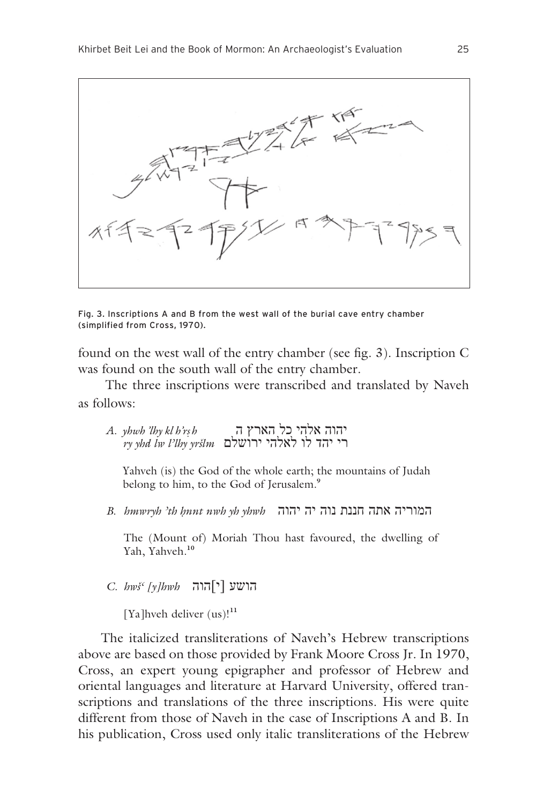

Fig. 3. Inscriptions A and B from the west wall of the burial cave entry chamber (simplified from Cross, 1970).

found on the west wall of the entry chamber (see fig. 3). Inscription C was found on the south wall of the entry chamber.

 The three inscriptions were transcribed and translated by Naveh as follows:

| A.  yhwh 'lhy kl h'rs h | יהוה אלהי כל הארץ ה                         |
|-------------------------|---------------------------------------------|
|                         | $\gamma$ yhd lw l'lhy yršlm רי יהד לו לאלהי |

Yahveh (is) the God of the whole earth; the mountains of Judah belong to him, to the God of Jerusalem.**<sup>9</sup>**

*B. hmwryh 'th ∏nnt nwh yh yhwh* יהוה יה נוה חננת אתה המוריה

The (Mount of) Moriah Thou hast favoured, the dwelling of Yah, Yahveh.**<sup>10</sup>**

*C. hwš' [y]hwh* הוה]י [הושע

[Ya]hveh deliver (us)!**<sup>11</sup>**

The italicized transliterations of Naveh's Hebrew transcriptions above are based on those provided by Frank Moore Cross Jr. In 1970, Cross, an expert young epigrapher and professor of Hebrew and oriental languages and literature at Harvard University, offered transcriptions and translations of the three inscriptions. His were quite different from those of Naveh in the case of Inscriptions A and B. In his publication, Cross used only italic transliterations of the Hebrew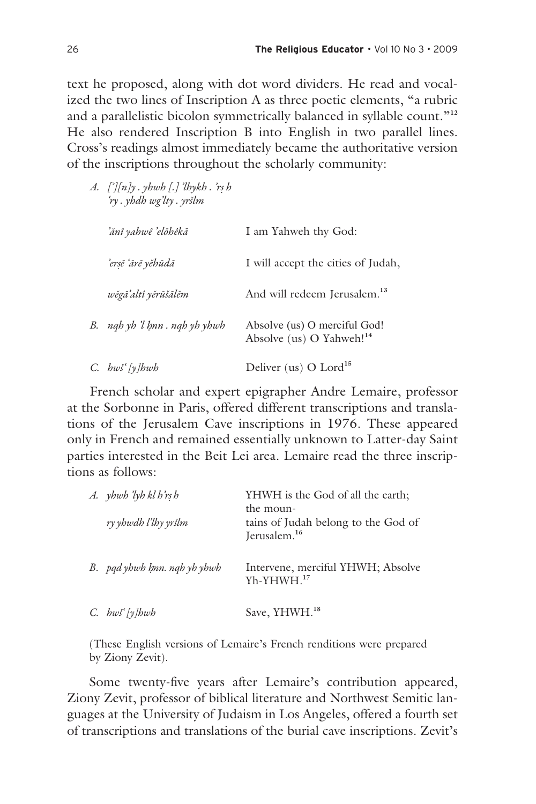text he proposed, along with dot word dividers. He read and vocalized the two lines of Inscription A as three poetic elements, "a rubric and a parallelistic bicolon symmetrically balanced in syllable count."**<sup>12</sup>** He also rendered Inscription B into English in two parallel lines. Cross's readings almost immediately became the authoritative version of the inscriptions throughout the scholarly community:

| A. ['][n]y . yhwh [.] 'lhykh . 'rṣ h<br>'ry . yhdh wg'lty . yršlm |                                                                      |
|-------------------------------------------------------------------|----------------------------------------------------------------------|
| 'ănî yahwê 'elōhêkā                                               | I am Yahweh thy God:                                                 |
| 'ersē 'ārē yĕhūdā                                                 | I will accept the cities of Judah,                                   |
| wěgā'altî yĕrūšālĕm                                               | And will redeem Jerusalem. <sup>13</sup>                             |
| B. ngh yh 'l hnn . ngh yh yhwh                                    | Absolve (us) O merciful God!<br>Absolve (us) O Yahweh! <sup>14</sup> |
| $C.$ hws [y]hwh                                                   | Deliver (us) O Lord <sup>15</sup>                                    |

French scholar and expert epigrapher Andre Lemaire, professor at the Sorbonne in Paris, offered different transcriptions and translations of the Jerusalem Cave inscriptions in 1976. These appeared only in French and remained essentially unknown to Latter-day Saint parties interested in the Beit Lei area. Lemaire read the three inscriptions as follows:

| A. yhwh 'lyh kl h'rs h<br>ry yhwdh l'lhy yršlm | YHWH is the God of all the earth;<br>the moun-<br>tains of Judah belong to the God of<br>Jerusalem. <sup>16</sup> |
|------------------------------------------------|-------------------------------------------------------------------------------------------------------------------|
| B. pad yhwh hnn. nah yh yhwh                   | Intervene, merciful YHWH; Absolve<br>$Yh-YHWH.17$                                                                 |
| $C.$ bws [y]bwb                                | Save, YHWH. <sup>18</sup>                                                                                         |

(These English versions of Lemaire's French renditions were prepared by Ziony Zevit).

Some twenty-five years after Lemaire's contribution appeared, Ziony Zevit, professor of biblical literature and Northwest Semitic languages at the University of Judaism in Los Angeles, offered a fourth set of transcriptions and translations of the burial cave inscriptions. Zevit's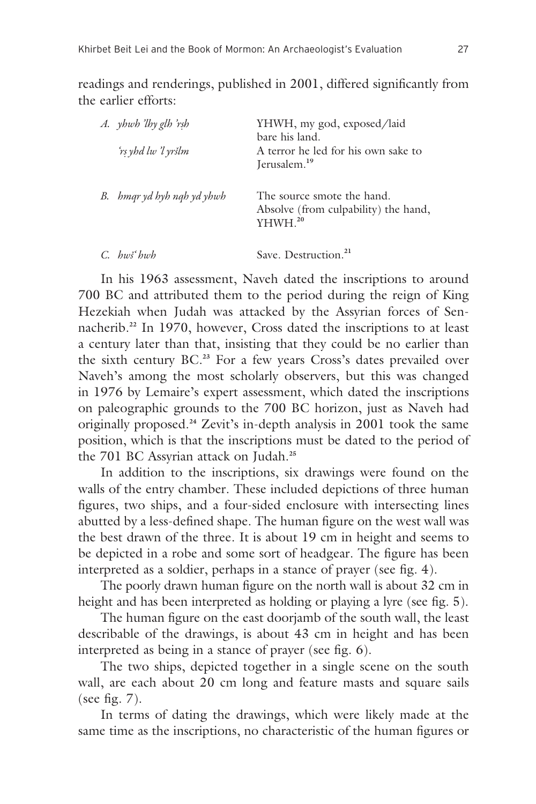readings and renderings, published in 2001, differed significantly from the earlier efforts:

| A. yhwh 'lhy glh 'rsh<br>'rs yhd lw 'l yršlm | YHWH, my god, exposed/laid<br>bare his land.<br>A terror he led for his own sake to<br>Jerusalem. <sup>19</sup> |
|----------------------------------------------|-----------------------------------------------------------------------------------------------------------------|
| B. bmgr yd byb ngb yd ybwb                   | The source smote the hand.<br>Absolve (from culpability) the hand,<br>YHWH. <sup>20</sup>                       |
| $C_h$ hws hwh                                | Save. Destruction. <sup>21</sup>                                                                                |

In his 1963 assessment, Naveh dated the inscriptions to around 700 BC and attributed them to the period during the reign of King Hezekiah when Judah was attacked by the Assyrian forces of Sennacherib.**22** In 1970, however, Cross dated the inscriptions to at least a century later than that, insisting that they could be no earlier than the sixth century BC.**23** For a few years Cross's dates prevailed over Naveh's among the most scholarly observers, but this was changed in 1976 by Lemaire's expert assessment, which dated the inscriptions on paleographic grounds to the 700 BC horizon, just as Naveh had originally proposed.**24** Zevit's in-depth analysis in 2001 took the same position, which is that the inscriptions must be dated to the period of the 701 BC Assyrian attack on Judah.**<sup>25</sup>**

In addition to the inscriptions, six drawings were found on the walls of the entry chamber. These included depictions of three human figures, two ships, and a four-sided enclosure with intersecting lines abutted by a less-defined shape. The human figure on the west wall was the best drawn of the three. It is about 19 cm in height and seems to be depicted in a robe and some sort of headgear. The figure has been interpreted as a soldier, perhaps in a stance of prayer (see fig. 4).

The poorly drawn human figure on the north wall is about 32 cm in height and has been interpreted as holding or playing a lyre (see fig. 5).

The human figure on the east doorjamb of the south wall, the least describable of the drawings, is about 43 cm in height and has been interpreted as being in a stance of prayer (see fig. 6).

The two ships, depicted together in a single scene on the south wall, are each about 20 cm long and feature masts and square sails (see fig. 7).

In terms of dating the drawings, which were likely made at the same time as the inscriptions, no characteristic of the human figures or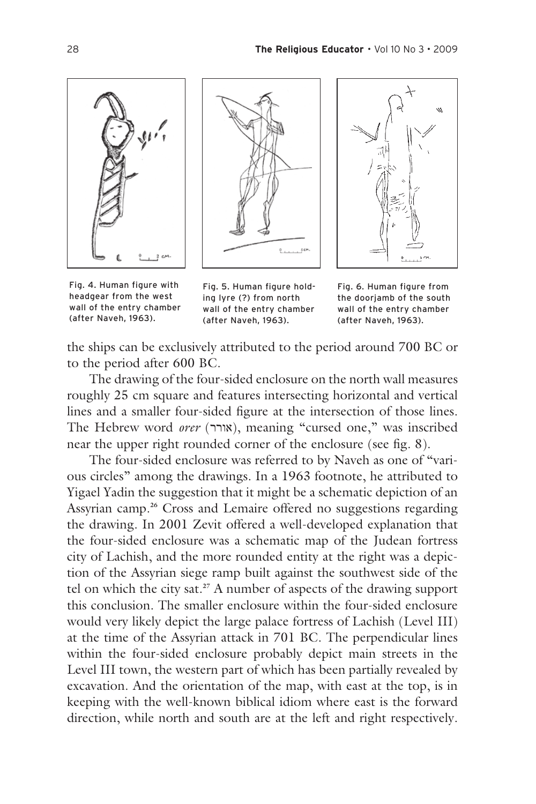

Fig. 4. Human figure with headgear from the west wall of the entry chamber (after Naveh, 1963).





Fig. 5. Human figure holding lyre (?) from north wall of the entry chamber (after Naveh, 1963).

Fig. 6. Human figure from the doorjamb of the south wall of the entry chamber (after Naveh, 1963).

the ships can be exclusively attributed to the period around 700 BC or to the period after 600 BC.

The drawing of the four-sided enclosure on the north wall measures roughly 25 cm square and features intersecting horizontal and vertical lines and a smaller four-sided figure at the intersection of those lines. The Hebrew word orer (אורך), meaning "cursed one," was inscribed near the upper right rounded corner of the enclosure (see fig. 8).

The four-sided enclosure was referred to by Naveh as one of "various circles" among the drawings. In a 1963 footnote, he attributed to Yigael Yadin the suggestion that it might be a schematic depiction of an Assyrian camp.**26** Cross and Lemaire offered no suggestions regarding the drawing. In 2001 Zevit offered a well-developed explanation that the four-sided enclosure was a schematic map of the Judean fortress city of Lachish, and the more rounded entity at the right was a depiction of the Assyrian siege ramp built against the southwest side of the tel on which the city sat.**27** A number of aspects of the drawing support this conclusion. The smaller enclosure within the four-sided enclosure would very likely depict the large palace fortress of Lachish (Level III) at the time of the Assyrian attack in 701 BC. The perpendicular lines within the four-sided enclosure probably depict main streets in the Level III town, the western part of which has been partially revealed by excavation. And the orientation of the map, with east at the top, is in keeping with the well-known biblical idiom where east is the forward direction, while north and south are at the left and right respectively.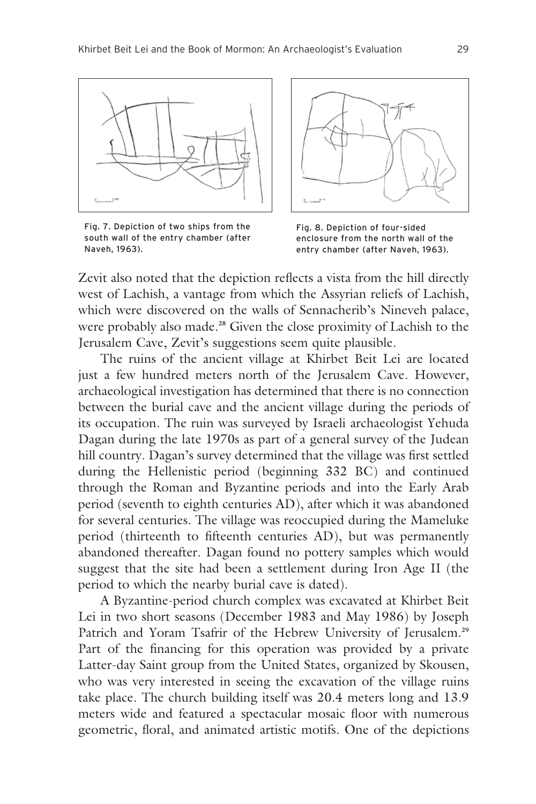

Fig. 7. Depiction of two ships from the south wall of the entry chamber (after Naveh, 1963).





Zevit also noted that the depiction reflects a vista from the hill directly west of Lachish, a vantage from which the Assyrian reliefs of Lachish, which were discovered on the walls of Sennacherib's Nineveh palace, were probably also made.**28** Given the close proximity of Lachish to the Jerusalem Cave, Zevit's suggestions seem quite plausible.

The ruins of the ancient village at Khirbet Beit Lei are located just a few hundred meters north of the Jerusalem Cave. However, archaeological investigation has determined that there is no connection between the burial cave and the ancient village during the periods of its occupation. The ruin was surveyed by Israeli archaeologist Yehuda Dagan during the late 1970s as part of a general survey of the Judean hill country. Dagan's survey determined that the village was first settled during the Hellenistic period (beginning 332 BC) and continued through the Roman and Byzantine periods and into the Early Arab period (seventh to eighth centuries AD), after which it was abandoned for several centuries. The village was reoccupied during the Mameluke period (thirteenth to fifteenth centuries AD), but was permanently abandoned thereafter. Dagan found no pottery samples which would suggest that the site had been a settlement during Iron Age II (the period to which the nearby burial cave is dated).

A Byzantine-period church complex was excavated at Khirbet Beit Lei in two short seasons (December 1983 and May 1986) by Joseph Patrich and Yoram Tsafrir of the Hebrew University of Jerusalem.**<sup>29</sup>** Part of the financing for this operation was provided by a private Latter-day Saint group from the United States, organized by Skousen, who was very interested in seeing the excavation of the village ruins take place. The church building itself was 20.4 meters long and 13.9 meters wide and featured a spectacular mosaic floor with numerous geometric, floral, and animated artistic motifs. One of the depictions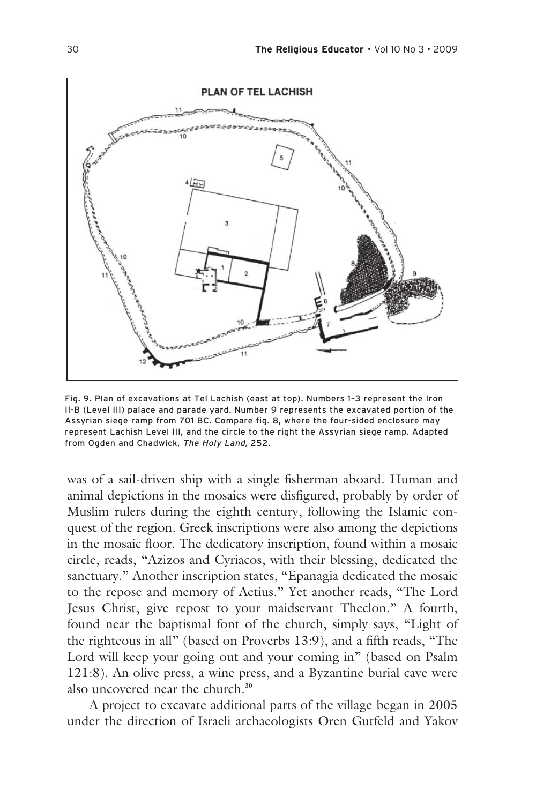

Fig. 9. Plan of excavations at Tel Lachish (east at top). Numbers 1–3 represent the Iron II-B (Level III) palace and parade yard. Number 9 represents the excavated portion of the Assyrian siege ramp from 701 BC. Compare fig. 8, where the four-sided enclosure may represent Lachish Level III, and the circle to the right the Assyrian siege ramp. Adapted from Ogden and Chadwick, The Holy Land, 252.

was of a sail-driven ship with a single fisherman aboard. Human and animal depictions in the mosaics were disfigured, probably by order of Muslim rulers during the eighth century, following the Islamic conquest of the region. Greek inscriptions were also among the depictions in the mosaic floor. The dedicatory inscription, found within a mosaic circle, reads, "Azizos and Cyriacos, with their blessing, dedicated the sanctuary." Another inscription states, "Epanagia dedicated the mosaic to the repose and memory of Aetius." Yet another reads, "The Lord Jesus Christ, give repost to your maidservant Theclon." A fourth, found near the baptismal font of the church, simply says, "Light of the righteous in all" (based on Proverbs 13:9), and a fifth reads, "The Lord will keep your going out and your coming in" (based on Psalm 121:8). An olive press, a wine press, and a Byzantine burial cave were also uncovered near the church.**<sup>30</sup>**

A project to excavate additional parts of the village began in 2005 under the direction of Israeli archaeologists Oren Gutfeld and Yakov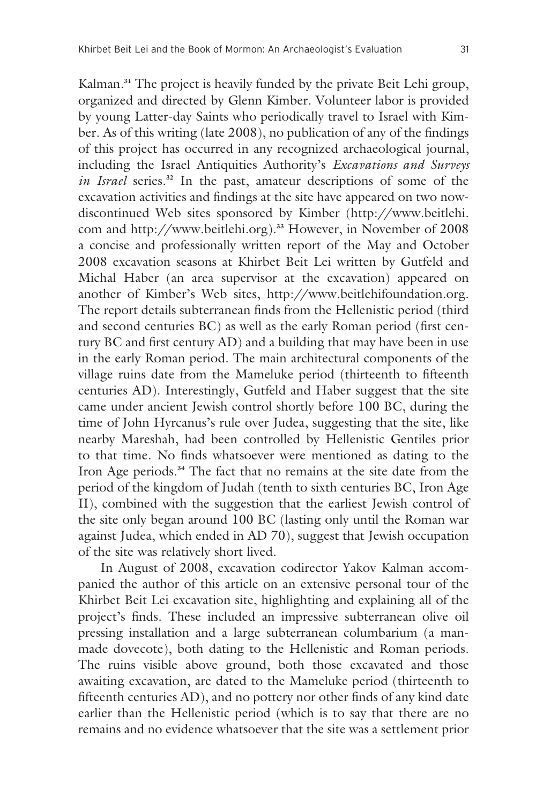Kalman.**31** The project is heavily funded by the private Beit Lehi group, organized and directed by Glenn Kimber. Volunteer labor is provided by young Latter-day Saints who periodically travel to Israel with Kimber. As of this writing (late 2008), no publication of any of the findings of this project has occurred in any recognized archaeological journal, including the Israel Antiquities Authority's *Excavations and Surveys in Israel* series.**32** In the past, amateur descriptions of some of the excavation activities and findings at the site have appeared on two nowdiscontinued Web sites sponsored by Kimber (http://www.beitlehi. com and http://www.beitlehi.org).**33** However, in November of 2008 a concise and professionally written report of the May and October 2008 excavation seasons at Khirbet Beit Lei written by Gutfeld and Michal Haber (an area supervisor at the excavation) appeared on another of Kimber's Web sites, http://www.beitlehifoundation.org. The report details subterranean finds from the Hellenistic period (third and second centuries BC) as well as the early Roman period (first century BC and first century AD) and a building that may have been in use in the early Roman period. The main architectural components of the village ruins date from the Mameluke period (thirteenth to fifteenth centuries AD). Interestingly, Gutfeld and Haber suggest that the site came under ancient Jewish control shortly before 100 BC, during the time of John Hyrcanus's rule over Judea, suggesting that the site, like nearby Mareshah, had been controlled by Hellenistic Gentiles prior to that time. No finds whatsoever were mentioned as dating to the Iron Age periods.**34** The fact that no remains at the site date from the period of the kingdom of Judah (tenth to sixth centuries BC, Iron Age II), combined with the suggestion that the earliest Jewish control of the site only began around 100 BC (lasting only until the Roman war against Judea, which ended in AD 70), suggest that Jewish occupation of the site was relatively short lived.

In August of 2008, excavation codirector Yakov Kalman accompanied the author of this article on an extensive personal tour of the Khirbet Beit Lei excavation site, highlighting and explaining all of the project's finds. These included an impressive subterranean olive oil pressing installation and a large subterranean columbarium (a manmade dovecote), both dating to the Hellenistic and Roman periods. The ruins visible above ground, both those excavated and those awaiting excavation, are dated to the Mameluke period (thirteenth to fifteenth centuries AD), and no pottery nor other finds of any kind date earlier than the Hellenistic period (which is to say that there are no remains and no evidence whatsoever that the site was a settlement prior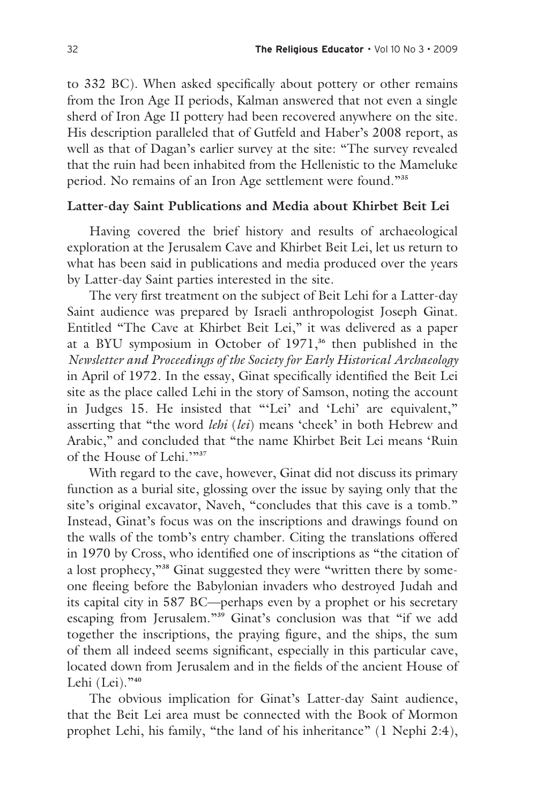to 332 BC). When asked specifically about pottery or other remains from the Iron Age II periods, Kalman answered that not even a single sherd of Iron Age II pottery had been recovered anywhere on the site. His description paralleled that of Gutfeld and Haber's 2008 report, as well as that of Dagan's earlier survey at the site: "The survey revealed that the ruin had been inhabited from the Hellenistic to the Mameluke period. No remains of an Iron Age settlement were found."**<sup>35</sup>**

## **Latter-day Saint Publications and Media about Khirbet Beit Lei**

Having covered the brief history and results of archaeological exploration at the Jerusalem Cave and Khirbet Beit Lei, let us return to what has been said in publications and media produced over the years by Latter-day Saint parties interested in the site.

The very first treatment on the subject of Beit Lehi for a Latter-day Saint audience was prepared by Israeli anthropologist Joseph Ginat. Entitled "The Cave at Khirbet Beit Lei," it was delivered as a paper at a BYU symposium in October of 1971,**36** then published in the *Newsletter and Proceedings of the Society for Early Historical Archaeology* in April of 1972. In the essay, Ginat specifically identified the Beit Lei site as the place called Lehi in the story of Samson, noting the account in Judges 15. He insisted that "'Lei' and 'Lehi' are equivalent," asserting that "the word *lehi* (*lei*) means 'cheek' in both Hebrew and Arabic," and concluded that "the name Khirbet Beit Lei means 'Ruin of the House of Lehi.'"**<sup>37</sup>**

With regard to the cave, however, Ginat did not discuss its primary function as a burial site, glossing over the issue by saying only that the site's original excavator, Naveh, "concludes that this cave is a tomb." Instead, Ginat's focus was on the inscriptions and drawings found on the walls of the tomb's entry chamber. Citing the translations offered in 1970 by Cross, who identified one of inscriptions as "the citation of a lost prophecy,"**38** Ginat suggested they were "written there by someone fleeing before the Babylonian invaders who destroyed Judah and its capital city in 587 BC—perhaps even by a prophet or his secretary escaping from Jerusalem."**39** Ginat's conclusion was that "if we add together the inscriptions, the praying figure, and the ships, the sum of them all indeed seems significant, especially in this particular cave, located down from Jerusalem and in the fields of the ancient House of Lehi (Lei)."**<sup>40</sup>**

The obvious implication for Ginat's Latter-day Saint audience, that the Beit Lei area must be connected with the Book of Mormon prophet Lehi, his family, "the land of his inheritance" (1 Nephi 2:4),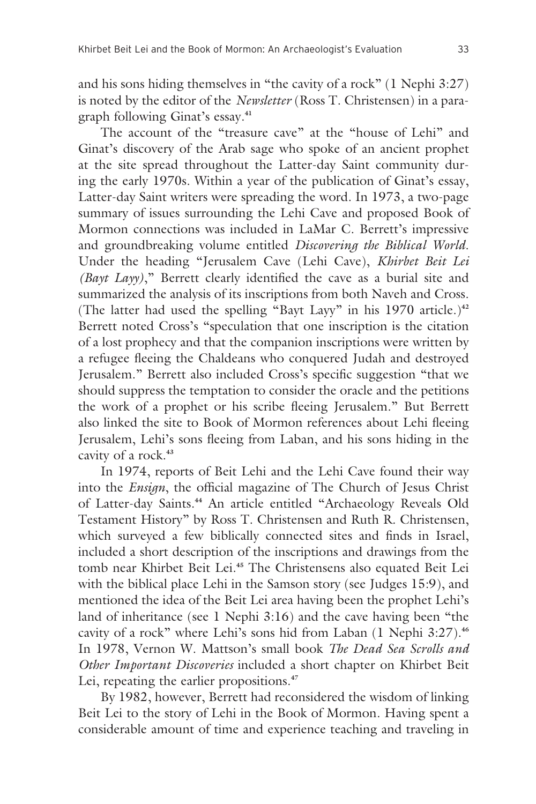and his sons hiding themselves in "the cavity of a rock" (1 Nephi 3:27) is noted by the editor of the *Newsletter* (Ross T. Christensen) in a paragraph following Ginat's essay.**<sup>41</sup>**

The account of the "treasure cave" at the "house of Lehi" and Ginat's discovery of the Arab sage who spoke of an ancient prophet at the site spread throughout the Latter-day Saint community during the early 1970s. Within a year of the publication of Ginat's essay, Latter-day Saint writers were spreading the word. In 1973, a two-page summary of issues surrounding the Lehi Cave and proposed Book of Mormon connections was included in LaMar C. Berrett's impressive and groundbreaking volume entitled *Discovering the Biblical World*. Under the heading "Jerusalem Cave (Lehi Cave), *Khirbet Beit Lei (Bayt Layy)*," Berrett clearly identified the cave as a burial site and summarized the analysis of its inscriptions from both Naveh and Cross. (The latter had used the spelling "Bayt Layy" in his 1970 article.)**<sup>42</sup>** Berrett noted Cross's "speculation that one inscription is the citation of a lost prophecy and that the companion inscriptions were written by a refugee fleeing the Chaldeans who conquered Judah and destroyed Jerusalem." Berrett also included Cross's specific suggestion "that we should suppress the temptation to consider the oracle and the petitions the work of a prophet or his scribe fleeing Jerusalem." But Berrett also linked the site to Book of Mormon references about Lehi fleeing Jerusalem, Lehi's sons fleeing from Laban, and his sons hiding in the cavity of a rock.**<sup>43</sup>**

In 1974, reports of Beit Lehi and the Lehi Cave found their way into the *Ensign*, the official magazine of The Church of Jesus Christ of Latter-day Saints.**44** An article entitled "Archaeology Reveals Old Testament History" by Ross T. Christensen and Ruth R. Christensen, which surveyed a few biblically connected sites and finds in Israel, included a short description of the inscriptions and drawings from the tomb near Khirbet Beit Lei.**45** The Christensens also equated Beit Lei with the biblical place Lehi in the Samson story (see Judges 15:9), and mentioned the idea of the Beit Lei area having been the prophet Lehi's land of inheritance (see 1 Nephi 3:16) and the cave having been "the cavity of a rock" where Lehi's sons hid from Laban (1 Nephi 3:27).**<sup>46</sup>** In 1978, Vernon W. Mattson's small book *The Dead Sea Scrolls and Other Important Discoveries* included a short chapter on Khirbet Beit Lei, repeating the earlier propositions.**<sup>47</sup>**

By 1982, however, Berrett had reconsidered the wisdom of linking Beit Lei to the story of Lehi in the Book of Mormon. Having spent a considerable amount of time and experience teaching and traveling in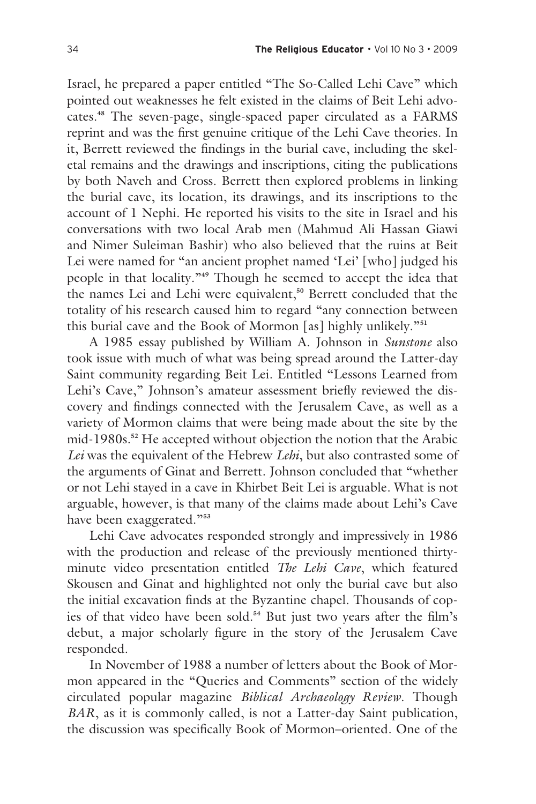Israel, he prepared a paper entitled "The So-Called Lehi Cave" which pointed out weaknesses he felt existed in the claims of Beit Lehi advocates.**48** The seven-page, single-spaced paper circulated as a FARMS reprint and was the first genuine critique of the Lehi Cave theories. In it, Berrett reviewed the findings in the burial cave, including the skeletal remains and the drawings and inscriptions, citing the publications by both Naveh and Cross. Berrett then explored problems in linking the burial cave, its location, its drawings, and its inscriptions to the account of 1 Nephi. He reported his visits to the site in Israel and his conversations with two local Arab men (Mahmud Ali Hassan Giawi and Nimer Suleiman Bashir) who also believed that the ruins at Beit Lei were named for "an ancient prophet named 'Lei' [who] judged his people in that locality."**49** Though he seemed to accept the idea that the names Lei and Lehi were equivalent,**50** Berrett concluded that the totality of his research caused him to regard "any connection between this burial cave and the Book of Mormon [as] highly unlikely."**<sup>51</sup>**

A 1985 essay published by William A. Johnson in *Sunstone* also took issue with much of what was being spread around the Latter-day Saint community regarding Beit Lei. Entitled "Lessons Learned from Lehi's Cave," Johnson's amateur assessment briefly reviewed the discovery and findings connected with the Jerusalem Cave, as well as a variety of Mormon claims that were being made about the site by the mid-1980s.**52** He accepted without objection the notion that the Arabic *Lei* was the equivalent of the Hebrew *Lehi*, but also contrasted some of the arguments of Ginat and Berrett. Johnson concluded that "whether or not Lehi stayed in a cave in Khirbet Beit Lei is arguable. What is not arguable, however, is that many of the claims made about Lehi's Cave have been exaggerated."**<sup>53</sup>**

Lehi Cave advocates responded strongly and impressively in 1986 with the production and release of the previously mentioned thirtyminute video presentation entitled *The Lehi Cave*, which featured Skousen and Ginat and highlighted not only the burial cave but also the initial excavation finds at the Byzantine chapel. Thousands of copies of that video have been sold.**54** But just two years after the film's debut, a major scholarly figure in the story of the Jerusalem Cave responded.

In November of 1988 a number of letters about the Book of Mormon appeared in the "Queries and Comments" section of the widely circulated popular magazine *Biblical Archaeology Review*. Though *BAR*, as it is commonly called, is not a Latter-day Saint publication, the discussion was specifically Book of Mormon–oriented. One of the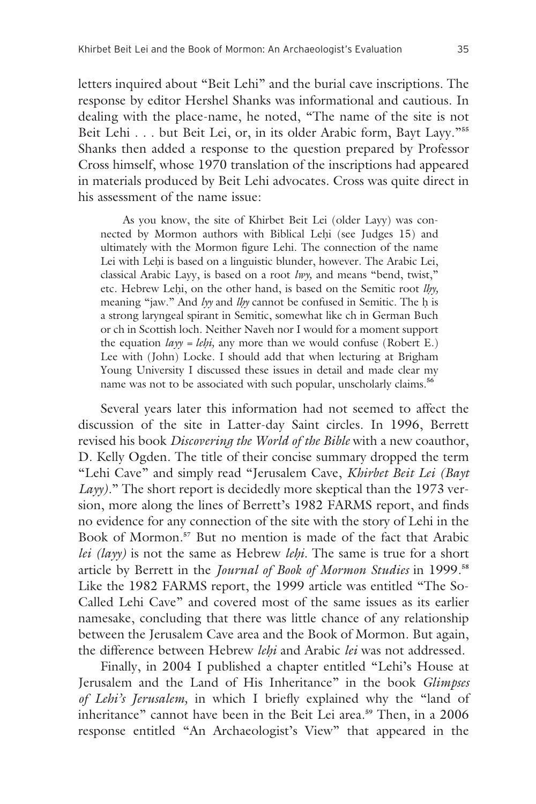letters inquired about "Beit Lehi" and the burial cave inscriptions. The response by editor Hershel Shanks was informational and cautious. In dealing with the place-name, he noted, "The name of the site is not Beit Lehi . . . but Beit Lei, or, in its older Arabic form, Bayt Layy."**<sup>55</sup>** Shanks then added a response to the question prepared by Professor Cross himself, whose 1970 translation of the inscriptions had appeared in materials produced by Beit Lehi advocates. Cross was quite direct in his assessment of the name issue:

As you know, the site of Khirbet Beit Lei (older Layy) was connected by Mormon authors with Biblical Lehi (see Judges 15) and ultimately with the Mormon figure Lehi. The connection of the name Lei with Lehi is based on a linguistic blunder, however. The Arabic Lei, classical Arabic Layy, is based on a root *lwy,* and means "bend, twist," etc. Hebrew Lehi, on the other hand, is based on the Semitic root *lhy*, meaning "jaw." And *lyy* and *llyy* cannot be confused in Semitic. The h is a strong laryngeal spirant in Semitic, somewhat like ch in German Buch or ch in Scottish loch. Neither Naveh nor I would for a moment support the equation  $layy = lehi$ , any more than we would confuse (Robert E.) Lee with (John) Locke. I should add that when lecturing at Brigham Young University I discussed these issues in detail and made clear my name was not to be associated with such popular, unscholarly claims.**<sup>56</sup>**

Several years later this information had not seemed to affect the discussion of the site in Latter-day Saint circles. In 1996, Berrett revised his book *Discovering the World of the Bible* with a new coauthor, D. Kelly Ogden. The title of their concise summary dropped the term "Lehi Cave" and simply read "Jerusalem Cave, *Khirbet Beit Lei (Bayt Layy*)." The short report is decidedly more skeptical than the 1973 version, more along the lines of Berrett's 1982 FARMS report, and finds no evidence for any connection of the site with the story of Lehi in the Book of Mormon.**57** But no mention is made of the fact that Arabic *lei (layy)* is not the same as Hebrew *lehi*. The same is true for a short article by Berrett in the *Journal of Book of Mormon Studies* in 1999.**<sup>58</sup>** Like the 1982 FARMS report, the 1999 article was entitled "The So-Called Lehi Cave" and covered most of the same issues as its earlier namesake, concluding that there was little chance of any relationship between the Jerusalem Cave area and the Book of Mormon. But again, the difference between Hebrew *le∏i* and Arabic *lei* was not addressed.

Finally, in 2004 I published a chapter entitled "Lehi's House at Jerusalem and the Land of His Inheritance" in the book *Glimpses of Lehi's Jerusalem,* in which I briefly explained why the "land of inheritance" cannot have been in the Beit Lei area.**59** Then, in a 2006 response entitled "An Archaeologist's View" that appeared in the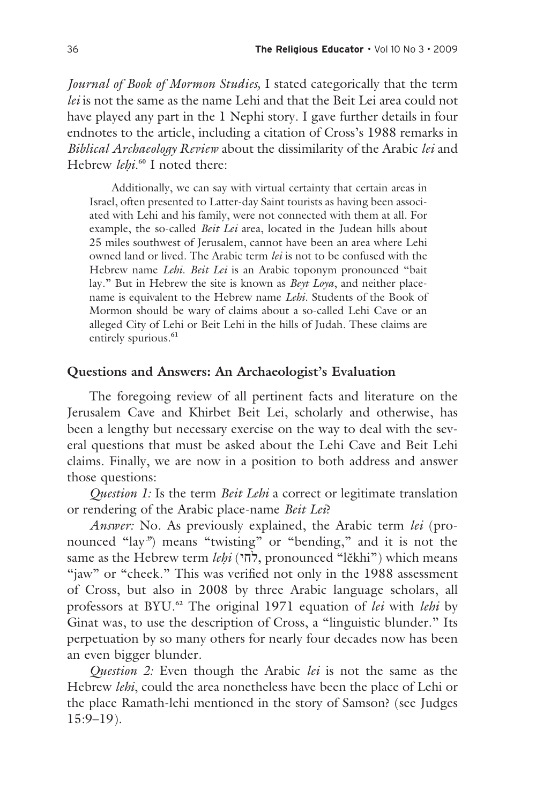*Journal of Book of Mormon Studies,* I stated categorically that the term *lei* is not the same as the name Lehi and that the Beit Lei area could not have played any part in the 1 Nephi story. I gave further details in four endnotes to the article, including a citation of Cross's 1988 remarks in *Biblical Archaeology Review* about the dissimilarity of the Arabic *lei* and Hebrew *lehi*.<sup>60</sup> I noted there:

Additionally, we can say with virtual certainty that certain areas in Israel, often presented to Latter-day Saint tourists as having been associated with Lehi and his family, were not connected with them at all. For example, the so-called *Beit Lei* area, located in the Judean hills about 25 miles southwest of Jerusalem, cannot have been an area where Lehi owned land or lived. The Arabic term *lei* is not to be confused with the Hebrew name *Lehi*. *Beit Lei* is an Arabic toponym pronounced "bait lay." But in Hebrew the site is known as *Beyt Loya*, and neither placename is equivalent to the Hebrew name *Lehi*. Students of the Book of Mormon should be wary of claims about a so-called Lehi Cave or an alleged City of Lehi or Beit Lehi in the hills of Judah. These claims are entirely spurious.**<sup>61</sup>**

## **Questions and Answers: An Archaeologist's Evaluation**

The foregoing review of all pertinent facts and literature on the Jerusalem Cave and Khirbet Beit Lei, scholarly and otherwise, has been a lengthy but necessary exercise on the way to deal with the several questions that must be asked about the Lehi Cave and Beit Lehi claims. Finally, we are now in a position to both address and answer those questions:

*Question 1:* Is the term *Beit Lehi* a correct or legitimate translation or rendering of the Arabic place-name *Beit Lei*?

*Answer:* No. As previously explained, the Arabic term *lei* (pronounced "lay*"*) means "twisting" or "bending," and it is not the same as the Hebrew term *leḥi* (לחי), pronounced "lĕkhi") which means "jaw" or "cheek." This was verified not only in the 1988 assessment of Cross, but also in 2008 by three Arabic language scholars, all professors at BYU.**62** The original 1971 equation of *lei* with *lehi* by Ginat was, to use the description of Cross, a "linguistic blunder." Its perpetuation by so many others for nearly four decades now has been an even bigger blunder.

*Question 2:* Even though the Arabic *lei* is not the same as the Hebrew *lehi*, could the area nonetheless have been the place of Lehi or the place Ramath-lehi mentioned in the story of Samson? (see Judges 15:9–19).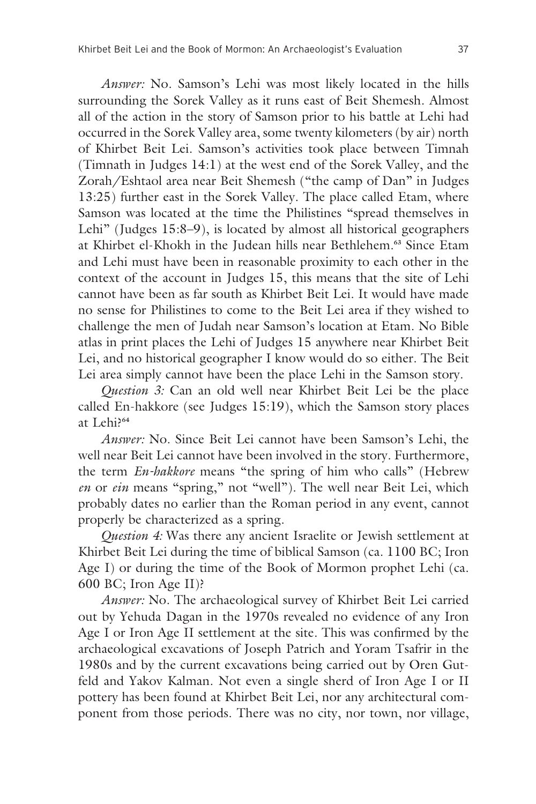*Answer:* No. Samson's Lehi was most likely located in the hills surrounding the Sorek Valley as it runs east of Beit Shemesh. Almost all of the action in the story of Samson prior to his battle at Lehi had occurred in the Sorek Valley area, some twenty kilometers (by air) north of Khirbet Beit Lei. Samson's activities took place between Timnah (Timnath in Judges 14:1) at the west end of the Sorek Valley, and the Zorah/Eshtaol area near Beit Shemesh ("the camp of Dan" in Judges 13:25) further east in the Sorek Valley. The place called Etam, where Samson was located at the time the Philistines "spread themselves in Lehi" (Judges 15:8–9), is located by almost all historical geographers at Khirbet el-Khokh in the Judean hills near Bethlehem.**63** Since Etam and Lehi must have been in reasonable proximity to each other in the context of the account in Judges 15, this means that the site of Lehi cannot have been as far south as Khirbet Beit Lei. It would have made no sense for Philistines to come to the Beit Lei area if they wished to challenge the men of Judah near Samson's location at Etam. No Bible atlas in print places the Lehi of Judges 15 anywhere near Khirbet Beit Lei, and no historical geographer I know would do so either. The Beit Lei area simply cannot have been the place Lehi in the Samson story.

*Question 3:* Can an old well near Khirbet Beit Lei be the place called En-hakkore (see Judges 15:19), which the Samson story places at Lehi?**<sup>64</sup>**

*Answer:* No. Since Beit Lei cannot have been Samson's Lehi, the well near Beit Lei cannot have been involved in the story. Furthermore, the term *En-hakkore* means "the spring of him who calls" (Hebrew *en* or *ein* means "spring," not "well"). The well near Beit Lei, which probably dates no earlier than the Roman period in any event, cannot properly be characterized as a spring.

*Question 4:* Was there any ancient Israelite or Jewish settlement at Khirbet Beit Lei during the time of biblical Samson (ca. 1100 BC; Iron Age I) or during the time of the Book of Mormon prophet Lehi (ca. 600 BC; Iron Age II)?

*Answer:* No. The archaeological survey of Khirbet Beit Lei carried out by Yehuda Dagan in the 1970s revealed no evidence of any Iron Age I or Iron Age II settlement at the site. This was confirmed by the archaeological excavations of Joseph Patrich and Yoram Tsafrir in the 1980s and by the current excavations being carried out by Oren Gutfeld and Yakov Kalman. Not even a single sherd of Iron Age I or II pottery has been found at Khirbet Beit Lei, nor any architectural component from those periods. There was no city, nor town, nor village,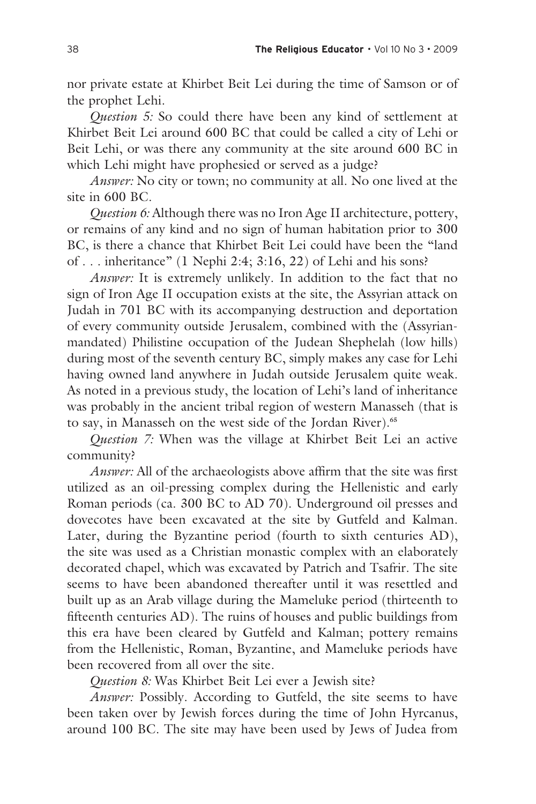nor private estate at Khirbet Beit Lei during the time of Samson or of the prophet Lehi.

*Question 5:* So could there have been any kind of settlement at Khirbet Beit Lei around 600 BC that could be called a city of Lehi or Beit Lehi, or was there any community at the site around 600 BC in which Lehi might have prophesied or served as a judge?

*Answer:* No city or town; no community at all. No one lived at the site in 600 BC.

*Question 6:* Although there was no Iron Age II architecture, pottery, or remains of any kind and no sign of human habitation prior to 300 BC, is there a chance that Khirbet Beit Lei could have been the "land of . . . inheritance" (1 Nephi 2:4; 3:16, 22) of Lehi and his sons?

*Answer:* It is extremely unlikely. In addition to the fact that no sign of Iron Age II occupation exists at the site, the Assyrian attack on Judah in 701 BC with its accompanying destruction and deportation of every community outside Jerusalem, combined with the (Assyrianmandated) Philistine occupation of the Judean Shephelah (low hills) during most of the seventh century BC, simply makes any case for Lehi having owned land anywhere in Judah outside Jerusalem quite weak. As noted in a previous study, the location of Lehi's land of inheritance was probably in the ancient tribal region of western Manasseh (that is to say, in Manasseh on the west side of the Jordan River).**<sup>65</sup>**

*Question 7:* When was the village at Khirbet Beit Lei an active community?

*Answer:* All of the archaeologists above affirm that the site was first utilized as an oil-pressing complex during the Hellenistic and early Roman periods (ca. 300 BC to AD 70). Underground oil presses and dovecotes have been excavated at the site by Gutfeld and Kalman. Later, during the Byzantine period (fourth to sixth centuries AD), the site was used as a Christian monastic complex with an elaborately decorated chapel, which was excavated by Patrich and Tsafrir. The site seems to have been abandoned thereafter until it was resettled and built up as an Arab village during the Mameluke period (thirteenth to fifteenth centuries AD). The ruins of houses and public buildings from this era have been cleared by Gutfeld and Kalman; pottery remains from the Hellenistic, Roman, Byzantine, and Mameluke periods have been recovered from all over the site.

*Question 8:* Was Khirbet Beit Lei ever a Jewish site?

*Answer:* Possibly. According to Gutfeld, the site seems to have been taken over by Jewish forces during the time of John Hyrcanus, around 100 BC. The site may have been used by Jews of Judea from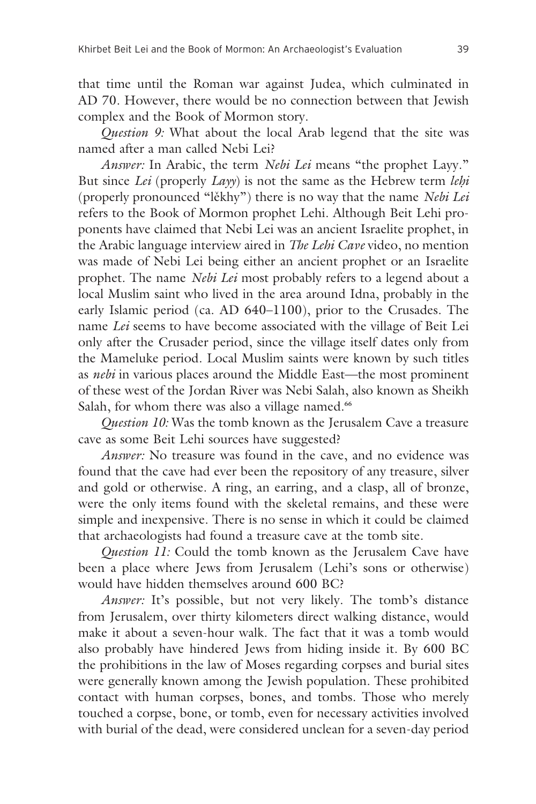that time until the Roman war against Judea, which culminated in AD 70. However, there would be no connection between that Jewish complex and the Book of Mormon story.

*Question 9:* What about the local Arab legend that the site was named after a man called Nebi Lei?

*Answer:* In Arabic, the term *Nebi Lei* means "the prophet Layy." But since *Lei* (properly *Layy*) is not the same as the Hebrew term *lehi* (properly pronounced "l∑khy") there is no way that the name *Nebi Lei*  refers to the Book of Mormon prophet Lehi. Although Beit Lehi proponents have claimed that Nebi Lei was an ancient Israelite prophet, in the Arabic language interview aired in *The Lehi Cave* video, no mention was made of Nebi Lei being either an ancient prophet or an Israelite prophet. The name *Nebi Lei* most probably refers to a legend about a local Muslim saint who lived in the area around Idna, probably in the early Islamic period (ca. AD 640–1100), prior to the Crusades. The name *Lei* seems to have become associated with the village of Beit Lei only after the Crusader period, since the village itself dates only from the Mameluke period. Local Muslim saints were known by such titles as *nebi* in various places around the Middle East—the most prominent of these west of the Jordan River was Nebi Salah, also known as Sheikh Salah, for whom there was also a village named.**<sup>66</sup>**

*Question 10:* Was the tomb known as the Jerusalem Cave a treasure cave as some Beit Lehi sources have suggested?

*Answer:* No treasure was found in the cave, and no evidence was found that the cave had ever been the repository of any treasure, silver and gold or otherwise. A ring, an earring, and a clasp, all of bronze, were the only items found with the skeletal remains, and these were simple and inexpensive. There is no sense in which it could be claimed that archaeologists had found a treasure cave at the tomb site.

*Question 11:* Could the tomb known as the Jerusalem Cave have been a place where Jews from Jerusalem (Lehi's sons or otherwise) would have hidden themselves around 600 BC?

*Answer:* It's possible, but not very likely. The tomb's distance from Jerusalem, over thirty kilometers direct walking distance, would make it about a seven-hour walk. The fact that it was a tomb would also probably have hindered Jews from hiding inside it. By 600 BC the prohibitions in the law of Moses regarding corpses and burial sites were generally known among the Jewish population. These prohibited contact with human corpses, bones, and tombs. Those who merely touched a corpse, bone, or tomb, even for necessary activities involved with burial of the dead, were considered unclean for a seven-day period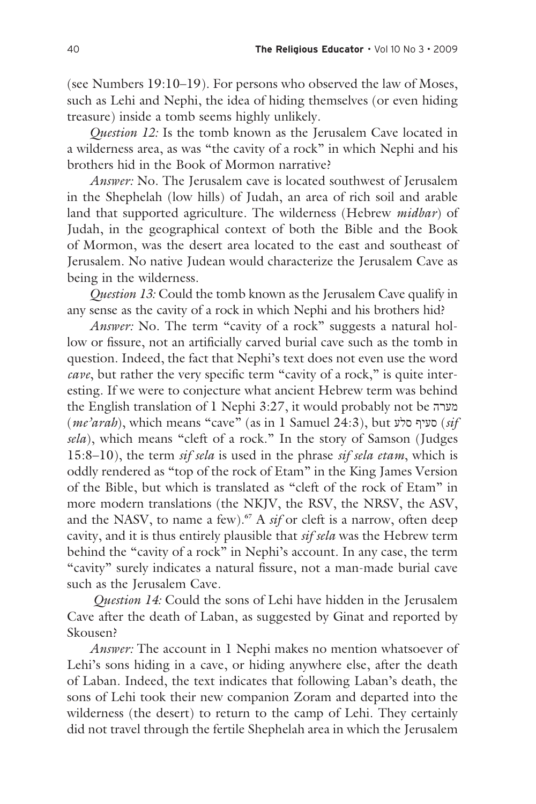(see Numbers 19:10–19). For persons who observed the law of Moses, such as Lehi and Nephi, the idea of hiding themselves (or even hiding treasure) inside a tomb seems highly unlikely.

*Question 12:* Is the tomb known as the Jerusalem Cave located in a wilderness area, as was "the cavity of a rock" in which Nephi and his brothers hid in the Book of Mormon narrative?

*Answer:* No. The Jerusalem cave is located southwest of Jerusalem in the Shephelah (low hills) of Judah, an area of rich soil and arable land that supported agriculture. The wilderness (Hebrew *midbar*) of Judah, in the geographical context of both the Bible and the Book of Mormon, was the desert area located to the east and southeast of Jerusalem. No native Judean would characterize the Jerusalem Cave as being in the wilderness.

*Question 13:* Could the tomb known as the Jerusalem Cave qualify in any sense as the cavity of a rock in which Nephi and his brothers hid?

*Answer:* No. The term "cavity of a rock" suggests a natural hollow or fissure, not an artificially carved burial cave such as the tomb in question. Indeed, the fact that Nephi's text does not even use the word *cave*, but rather the very specific term "cavity of a rock," is quite interesting. If we were to conjecture what ancient Hebrew term was behind the English translation of 1 Nephi 3:27, it would probably not be מערה (*me'arah*), which means "cave" (as in 1 Samuel 24:3), but סלע סעיף) *sif sela*), which means "cleft of a rock." In the story of Samson (Judges 15:8–10), the term *sif sela* is used in the phrase *sif sela etam*, which is oddly rendered as "top of the rock of Etam" in the King James Version of the Bible, but which is translated as "cleft of the rock of Etam" in more modern translations (the NKJV, the RSV, the NRSV, the ASV, and the NASV, to name a few).**67** A *sif* or cleft is a narrow, often deep cavity, and it is thus entirely plausible that *sif sela* was the Hebrew term behind the "cavity of a rock" in Nephi's account. In any case, the term "cavity" surely indicates a natural fissure, not a man-made burial cave such as the Jerusalem Cave.

*Question 14:* Could the sons of Lehi have hidden in the Jerusalem Cave after the death of Laban, as suggested by Ginat and reported by Skousen?

*Answer:* The account in 1 Nephi makes no mention whatsoever of Lehi's sons hiding in a cave, or hiding anywhere else, after the death of Laban. Indeed, the text indicates that following Laban's death, the sons of Lehi took their new companion Zoram and departed into the wilderness (the desert) to return to the camp of Lehi. They certainly did not travel through the fertile Shephelah area in which the Jerusalem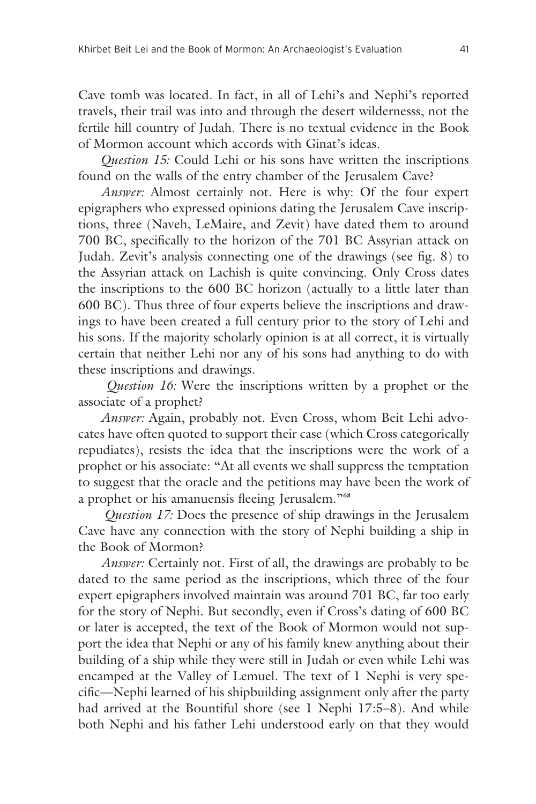Cave tomb was located. In fact, in all of Lehi's and Nephi's reported travels, their trail was into and through the desert wildernesss, not the fertile hill country of Judah. There is no textual evidence in the Book of Mormon account which accords with Ginat's ideas.

*Question 15:* Could Lehi or his sons have written the inscriptions found on the walls of the entry chamber of the Jerusalem Cave?

*Answer:* Almost certainly not. Here is why: Of the four expert epigraphers who expressed opinions dating the Jerusalem Cave inscriptions, three (Naveh, LeMaire, and Zevit) have dated them to around 700 BC, specifically to the horizon of the 701 BC Assyrian attack on Judah. Zevit's analysis connecting one of the drawings (see fig. 8) to the Assyrian attack on Lachish is quite convincing. Only Cross dates the inscriptions to the 600 BC horizon (actually to a little later than 600 BC). Thus three of four experts believe the inscriptions and drawings to have been created a full century prior to the story of Lehi and his sons. If the majority scholarly opinion is at all correct, it is virtually certain that neither Lehi nor any of his sons had anything to do with these inscriptions and drawings.

*Question 16:* Were the inscriptions written by a prophet or the associate of a prophet?

*Answer:* Again, probably not. Even Cross, whom Beit Lehi advocates have often quoted to support their case (which Cross categorically repudiates), resists the idea that the inscriptions were the work of a prophet or his associate: "At all events we shall suppress the temptation to suggest that the oracle and the petitions may have been the work of a prophet or his amanuensis fleeing Jerusalem."**<sup>68</sup>**

 *Question 17:* Does the presence of ship drawings in the Jerusalem Cave have any connection with the story of Nephi building a ship in the Book of Mormon?

*Answer:* Certainly not. First of all, the drawings are probably to be dated to the same period as the inscriptions, which three of the four expert epigraphers involved maintain was around 701 BC, far too early for the story of Nephi. But secondly, even if Cross's dating of 600 BC or later is accepted, the text of the Book of Mormon would not support the idea that Nephi or any of his family knew anything about their building of a ship while they were still in Judah or even while Lehi was encamped at the Valley of Lemuel. The text of 1 Nephi is very specific—Nephi learned of his shipbuilding assignment only after the party had arrived at the Bountiful shore (see 1 Nephi 17:5–8). And while both Nephi and his father Lehi understood early on that they would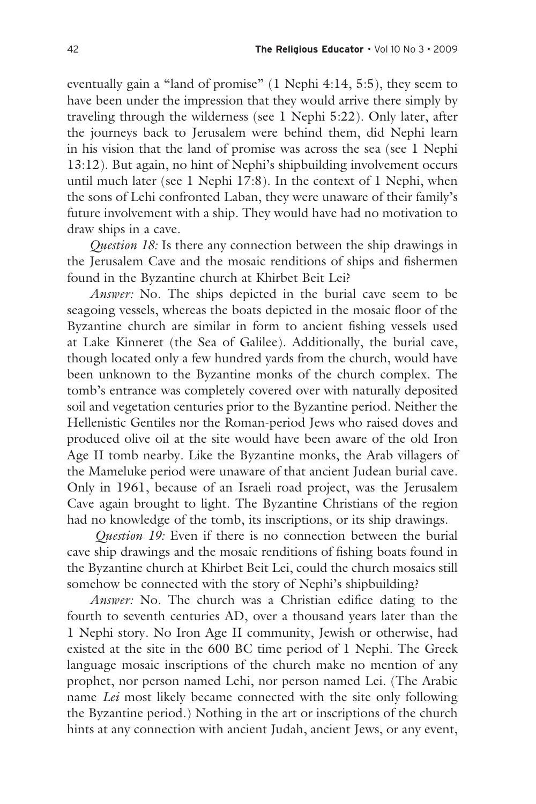eventually gain a "land of promise" (1 Nephi 4:14, 5:5), they seem to have been under the impression that they would arrive there simply by traveling through the wilderness (see 1 Nephi 5:22). Only later, after the journeys back to Jerusalem were behind them, did Nephi learn in his vision that the land of promise was across the sea (see 1 Nephi 13:12). But again, no hint of Nephi's shipbuilding involvement occurs until much later (see 1 Nephi 17:8). In the context of 1 Nephi, when the sons of Lehi confronted Laban, they were unaware of their family's future involvement with a ship. They would have had no motivation to draw ships in a cave.

*Question 18:* Is there any connection between the ship drawings in the Jerusalem Cave and the mosaic renditions of ships and fishermen found in the Byzantine church at Khirbet Beit Lei?

*Answer:* No. The ships depicted in the burial cave seem to be seagoing vessels, whereas the boats depicted in the mosaic floor of the Byzantine church are similar in form to ancient fishing vessels used at Lake Kinneret (the Sea of Galilee). Additionally, the burial cave, though located only a few hundred yards from the church, would have been unknown to the Byzantine monks of the church complex. The tomb's entrance was completely covered over with naturally deposited soil and vegetation centuries prior to the Byzantine period. Neither the Hellenistic Gentiles nor the Roman-period Jews who raised doves and produced olive oil at the site would have been aware of the old Iron Age II tomb nearby. Like the Byzantine monks, the Arab villagers of the Mameluke period were unaware of that ancient Judean burial cave. Only in 1961, because of an Israeli road project, was the Jerusalem Cave again brought to light. The Byzantine Christians of the region had no knowledge of the tomb, its inscriptions, or its ship drawings.

*Question 19:* Even if there is no connection between the burial cave ship drawings and the mosaic renditions of fishing boats found in the Byzantine church at Khirbet Beit Lei, could the church mosaics still somehow be connected with the story of Nephi's shipbuilding?

*Answer:* No. The church was a Christian edifice dating to the fourth to seventh centuries AD, over a thousand years later than the 1 Nephi story. No Iron Age II community, Jewish or otherwise, had existed at the site in the 600 BC time period of 1 Nephi. The Greek language mosaic inscriptions of the church make no mention of any prophet, nor person named Lehi, nor person named Lei. (The Arabic name *Lei* most likely became connected with the site only following the Byzantine period.) Nothing in the art or inscriptions of the church hints at any connection with ancient Judah, ancient Jews, or any event,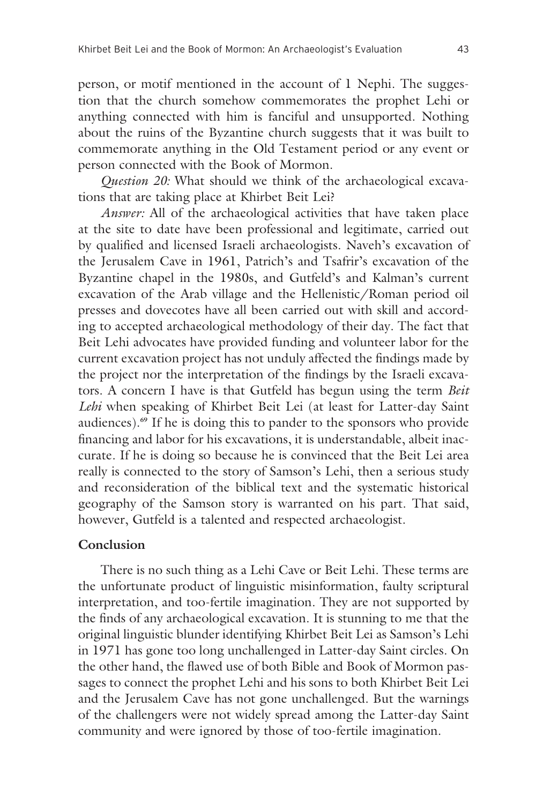person, or motif mentioned in the account of 1 Nephi. The suggestion that the church somehow commemorates the prophet Lehi or anything connected with him is fanciful and unsupported. Nothing about the ruins of the Byzantine church suggests that it was built to commemorate anything in the Old Testament period or any event or person connected with the Book of Mormon.

*Question 20:* What should we think of the archaeological excavations that are taking place at Khirbet Beit Lei?

*Answer:* All of the archaeological activities that have taken place at the site to date have been professional and legitimate, carried out by qualified and licensed Israeli archaeologists. Naveh's excavation of the Jerusalem Cave in 1961, Patrich's and Tsafrir's excavation of the Byzantine chapel in the 1980s, and Gutfeld's and Kalman's current excavation of the Arab village and the Hellenistic/Roman period oil presses and dovecotes have all been carried out with skill and according to accepted archaeological methodology of their day. The fact that Beit Lehi advocates have provided funding and volunteer labor for the current excavation project has not unduly affected the findings made by the project nor the interpretation of the findings by the Israeli excavators. A concern I have is that Gutfeld has begun using the term *Beit Lehi* when speaking of Khirbet Beit Lei (at least for Latter-day Saint audiences).**69** If he is doing this to pander to the sponsors who provide financing and labor for his excavations, it is understandable, albeit inaccurate. If he is doing so because he is convinced that the Beit Lei area really is connected to the story of Samson's Lehi, then a serious study and reconsideration of the biblical text and the systematic historical geography of the Samson story is warranted on his part. That said, however, Gutfeld is a talented and respected archaeologist.

### **Conclusion**

There is no such thing as a Lehi Cave or Beit Lehi. These terms are the unfortunate product of linguistic misinformation, faulty scriptural interpretation, and too-fertile imagination. They are not supported by the finds of any archaeological excavation. It is stunning to me that the original linguistic blunder identifying Khirbet Beit Lei as Samson's Lehi in 1971 has gone too long unchallenged in Latter-day Saint circles. On the other hand, the flawed use of both Bible and Book of Mormon passages to connect the prophet Lehi and his sons to both Khirbet Beit Lei and the Jerusalem Cave has not gone unchallenged. But the warnings of the challengers were not widely spread among the Latter-day Saint community and were ignored by those of too-fertile imagination.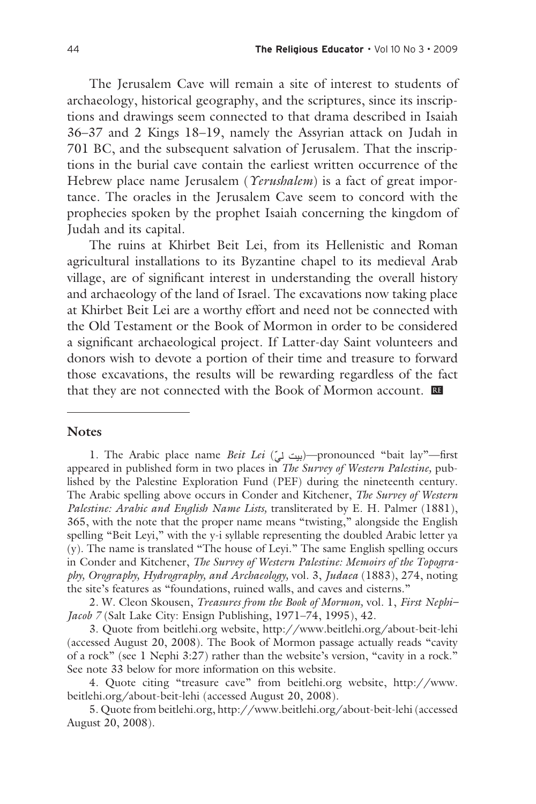The Jerusalem Cave will remain a site of interest to students of archaeology, historical geography, and the scriptures, since its inscriptions and drawings seem connected to that drama described in Isaiah 36–37 and 2 Kings 18–19, namely the Assyrian attack on Judah in 701 BC, and the subsequent salvation of Jerusalem. That the inscriptions in the burial cave contain the earliest written occurrence of the Hebrew place name Jerusalem (*Yerushalem*) is a fact of great importance. The oracles in the Jerusalem Cave seem to concord with the prophecies spoken by the prophet Isaiah concerning the kingdom of Judah and its capital.

The ruins at Khirbet Beit Lei, from its Hellenistic and Roman agricultural installations to its Byzantine chapel to its medieval Arab village, are of significant interest in understanding the overall history and archaeology of the land of Israel. The excavations now taking place at Khirbet Beit Lei are a worthy effort and need not be connected with the Old Testament or the Book of Mormon in order to be considered a significant archaeological project. If Latter-day Saint volunteers and donors wish to devote a portion of their time and treasure to forward those excavations, the results will be rewarding regardless of the fact that they are not connected with the Book of Mormon account. œ

### **Notes**

1. The Arabic place name *Beit Lei* (بيت ليّ)—pronounced "bait lay"—first appeared in published form in two places in *The Survey of Western Palestine,* published by the Palestine Exploration Fund (PEF) during the nineteenth century. The Arabic spelling above occurs in Conder and Kitchener, *The Survey of Western Palestine: Arabic and English Name Lists,* transliterated by E. H. Palmer (1881), 365, with the note that the proper name means "twisting," alongside the English spelling "Beit Leyi," with the y-i syllable representing the doubled Arabic letter ya (y). The name is translated "The house of Leyi." The same English spelling occurs in Conder and Kitchener, *The Survey of Western Palestine: Memoirs of the Topography, Orography, Hydrography, and Archaeology,* vol. 3, *Judaea* (1883), 274, noting the site's features as "foundations, ruined walls, and caves and cisterns."

2. W. Cleon Skousen, *Treasures from the Book of Mormon,* vol. 1, *First Nephi– Jacob 7* (Salt Lake City: Ensign Publishing, 1971–74, 1995), 42.

3. Quote from beitlehi.org website, http://www.beitlehi.org/about-beit-lehi (accessed August 20, 2008). The Book of Mormon passage actually reads "cavity of a rock" (see 1 Nephi 3:27) rather than the website's version, "cavity in a rock." See note 33 below for more information on this website.

4. Quote citing "treasure cave" from beitlehi.org website, http://www. beitlehi.org/about-beit-lehi (accessed August 20, 2008).

5. Quote from beitlehi.org, http://www.beitlehi.org/about-beit-lehi (accessed August 20, 2008).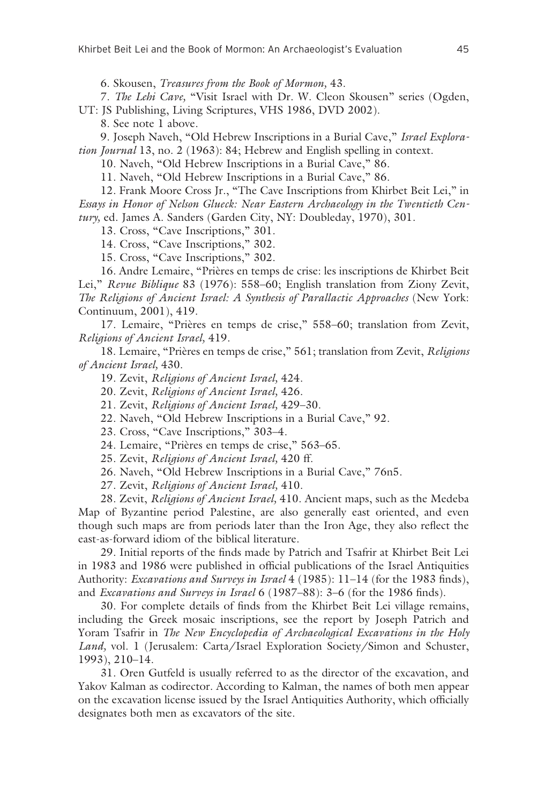6. Skousen, *Treasures from the Book of Mormon,* 43.

7. *The Lehi Cave,* "Visit Israel with Dr. W. Cleon Skousen" series (Ogden,

UT: JS Publishing, Living Scriptures, VHS 1986, DVD 2002).

8. See note 1 above.

9. Joseph Naveh, "Old Hebrew Inscriptions in a Burial Cave," *Israel Exploration Journal* 13, no. 2 (1963): 84; Hebrew and English spelling in context.

10. Naveh, "Old Hebrew Inscriptions in a Burial Cave," 86.

11. Naveh, "Old Hebrew Inscriptions in a Burial Cave," 86.

12. Frank Moore Cross Jr., "The Cave Inscriptions from Khirbet Beit Lei," in *Essays in Honor of Nelson Glueck: Near Eastern Archaeology in the Twentieth Century,* ed. James A. Sanders (Garden City, NY: Doubleday, 1970), 301.

13. Cross, "Cave Inscriptions," 301.

14. Cross, "Cave Inscriptions," 302.

15. Cross, "Cave Inscriptions," 302.

16. Andre Lemaire, "Prières en temps de crise: les inscriptions de Khirbet Beit Lei," *Revue Biblique* 83 (1976): 558–60; English translation from Ziony Zevit, *The Religions of Ancient Israel: A Synthesis of Parallactic Approaches* (New York: Continuum, 2001), 419.

17. Lemaire, "Prières en temps de crise," 558–60; translation from Zevit, *Religions of Ancient Israel,* 419.

18. Lemaire, "Prières en temps de crise," 561; translation from Zevit, *Religions of Ancient Israel,* 430.

19. Zevit, *Religions of Ancient Israel,* 424.

20. Zevit, *Religions of Ancient Israel,* 426.

21. Zevit, *Religions of Ancient Israel,* 429–30.

22. Naveh, "Old Hebrew Inscriptions in a Burial Cave," 92.

23. Cross, "Cave Inscriptions," 303–4.

24. Lemaire, "Prières en temps de crise," 563–65.

25. Zevit, *Religions of Ancient Israel,* 420 ff.

26. Naveh, "Old Hebrew Inscriptions in a Burial Cave," 76n5.

27. Zevit, *Religions of Ancient Israel,* 410.

28. Zevit, *Religions of Ancient Israel,* 410. Ancient maps, such as the Medeba Map of Byzantine period Palestine, are also generally east oriented, and even though such maps are from periods later than the Iron Age, they also reflect the east-as-forward idiom of the biblical literature.

29. Initial reports of the finds made by Patrich and Tsafrir at Khirbet Beit Lei in 1983 and 1986 were published in official publications of the Israel Antiquities Authority: *Excavations and Surveys in Israel* 4 (1985): 11–14 (for the 1983 finds), and *Excavations and Surveys in Israel* 6 (1987–88): 3–6 (for the 1986 finds).

30. For complete details of finds from the Khirbet Beit Lei village remains, including the Greek mosaic inscriptions, see the report by Joseph Patrich and Yoram Tsafrir in *The New Encyclopedia of Archaeological Excavations in the Holy Land,* vol. 1 (Jerusalem: Carta/Israel Exploration Society/Simon and Schuster, 1993), 210–14.

31. Oren Gutfeld is usually referred to as the director of the excavation, and Yakov Kalman as codirector. According to Kalman, the names of both men appear on the excavation license issued by the Israel Antiquities Authority, which officially designates both men as excavators of the site.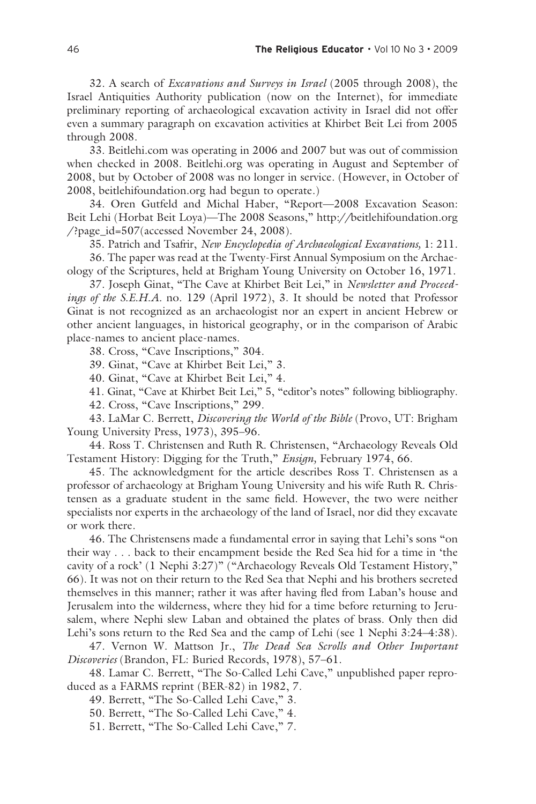32. A search of *Excavations and Surveys in Israel* (2005 through 2008), the Israel Antiquities Authority publication (now on the Internet), for immediate preliminary reporting of archaeological excavation activity in Israel did not offer even a summary paragraph on excavation activities at Khirbet Beit Lei from 2005 through 2008.

33. Beitlehi.com was operating in 2006 and 2007 but was out of commission when checked in 2008. Beitlehi.org was operating in August and September of 2008, but by October of 2008 was no longer in service. (However, in October of 2008, beitlehifoundation.org had begun to operate.)

34. Oren Gutfeld and Michal Haber, "Report—2008 Excavation Season: Beit Lehi (Horbat Beit Loya)—The 2008 Seasons," http://beitlehifoundation.org /?page\_id=507(accessed November 24, 2008).

35. Patrich and Tsafrir, *New Encyclopedia of Archaeological Excavations,* 1: 211.

36. The paper was read at the Twenty-First Annual Symposium on the Archaeology of the Scriptures, held at Brigham Young University on October 16, 1971.

37. Joseph Ginat, "The Cave at Khirbet Beit Lei," in *Newsletter and Proceedings of the S.E.H.A.* no. 129 (April 1972), 3. It should be noted that Professor Ginat is not recognized as an archaeologist nor an expert in ancient Hebrew or other ancient languages, in historical geography, or in the comparison of Arabic place-names to ancient place-names.

38. Cross, "Cave Inscriptions," 304.

39. Ginat, "Cave at Khirbet Beit Lei," 3.

40. Ginat, "Cave at Khirbet Beit Lei," 4.

41. Ginat, "Cave at Khirbet Beit Lei," 5, "editor's notes" following bibliography.

42. Cross, "Cave Inscriptions," 299.

43. LaMar C. Berrett, *Discovering the World of the Bible* (Provo, UT: Brigham Young University Press, 1973), 395–96.

44. Ross T. Christensen and Ruth R. Christensen, "Archaeology Reveals Old Testament History: Digging for the Truth," *Ensign,* February 1974, 66.

45. The acknowledgment for the article describes Ross T. Christensen as a professor of archaeology at Brigham Young University and his wife Ruth R. Christensen as a graduate student in the same field. However, the two were neither specialists nor experts in the archaeology of the land of Israel, nor did they excavate or work there.

46. The Christensens made a fundamental error in saying that Lehi's sons "on their way . . . back to their encampment beside the Red Sea hid for a time in 'the cavity of a rock' (1 Nephi 3:27)" ("Archaeology Reveals Old Testament History," 66). It was not on their return to the Red Sea that Nephi and his brothers secreted themselves in this manner; rather it was after having fled from Laban's house and Jerusalem into the wilderness, where they hid for a time before returning to Jerusalem, where Nephi slew Laban and obtained the plates of brass. Only then did Lehi's sons return to the Red Sea and the camp of Lehi (see 1 Nephi 3:24–4:38).

47. Vernon W. Mattson Jr., *The Dead Sea Scrolls and Other Important Discoveries* (Brandon, FL: Buried Records, 1978), 57–61.

48. Lamar C. Berrett, "The So-Called Lehi Cave," unpublished paper reproduced as a FARMS reprint (BER-82) in 1982, 7.

49. Berrett, "The So-Called Lehi Cave," 3.

50. Berrett, "The So-Called Lehi Cave," 4.

51. Berrett, "The So-Called Lehi Cave," 7.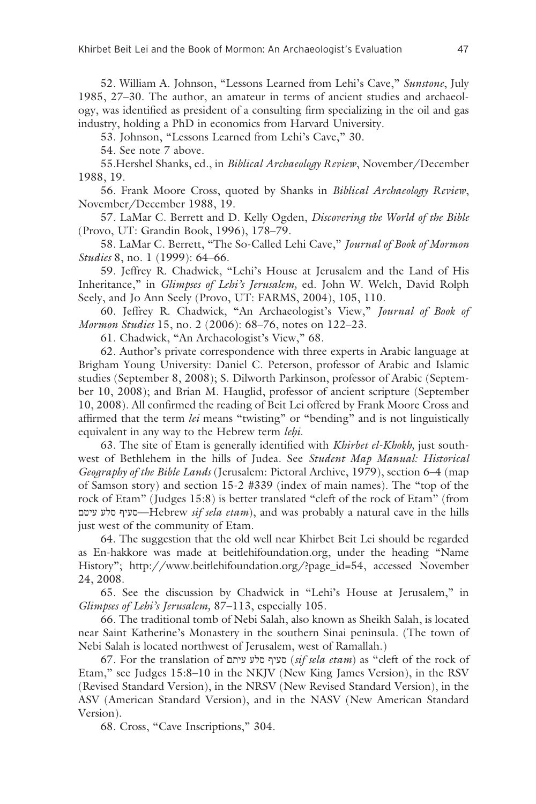52. William A. Johnson, "Lessons Learned from Lehi's Cave," *Sunstone*, July 1985, 27–30. The author, an amateur in terms of ancient studies and archaeology, was identified as president of a consulting firm specializing in the oil and gas industry, holding a PhD in economics from Harvard University.

53. Johnson, "Lessons Learned from Lehi's Cave," 30.

54. See note 7 above.

55. Hershel Shanks, ed., in *Biblical Archaeology Review*, November/December 1988, 19.

56. Frank Moore Cross, quoted by Shanks in *Biblical Archaeology Review*, November/December 1988, 19.

57. LaMar C. Berrett and D. Kelly Ogden, *Discovering the World of the Bible* (Provo, UT: Grandin Book, 1996), 178–79.

58. LaMar C. Berrett, "The So-Called Lehi Cave," *Journal of Book of Mormon Studies* 8, no. 1 (1999): 64–66.

59. Jeffrey R. Chadwick, "Lehi's House at Jerusalem and the Land of His Inheritance," in *Glimpses of Lehi's Jerusalem,* ed. John W. Welch, David Rolph Seely, and Jo Ann Seely (Provo, UT: FARMS, 2004), 105, 110.

60. Jeffrey R. Chadwick, "An Archaeologist's View," *Journal of Book of Mormon Studies* 15, no. 2 (2006): 68–76, notes on 122–23.

61. Chadwick, "An Archaeologist's View," 68.

62. Author's private correspondence with three experts in Arabic language at Brigham Young University: Daniel C. Peterson, professor of Arabic and Islamic studies (September 8, 2008); S. Dilworth Parkinson, professor of Arabic (September 10, 2008); and Brian M. Hauglid, professor of ancient scripture (September 10, 2008). All confirmed the reading of Beit Lei offered by Frank Moore Cross and affirmed that the term *lei* means "twisting" or "bending" and is not linguistically equivalent in any way to the Hebrew term *lehi*.

63. The site of Etam is generally identified with *Khirbet el-Khokh,* just southwest of Bethlehem in the hills of Judea. See *Student Map Manual: Historical Geography of the Bible Lands* (Jerusalem: Pictoral Archive, 1979), section 6–4 (map of Samson story) and section 15-2 #339 (index of main names). The "top of the rock of Etam" (Judges 15:8) is better translated "cleft of the rock of Etam" (from עיטם סלע סעיף—Hebrew *sif sela etam*), and was probably a natural cave in the hills just west of the community of Etam.

64. The suggestion that the old well near Khirbet Beit Lei should be regarded as En-hakkore was made at beitlehifoundation.org, under the heading "Name History"; http://www.beitlehifoundation.org/?page\_id=54, accessed November 24, 2008.

65. See the discussion by Chadwick in "Lehi's House at Jerusalem," in *Glimpses of Lehi's Jerusalem,* 87–113, especially 105.

66. The traditional tomb of Nebi Salah, also known as Sheikh Salah, is located near Saint Katherine's Monastery in the southern Sinai peninsula. (The town of Nebi Salah is located northwest of Jerusalem, west of Ramallah.)

67. For the translation of עיתם סלע סעיף) *sif sela etam*) as "cleft of the rock of Etam," see Judges 15:8–10 in the NKJV (New King James Version), in the RSV (Revised Standard Version), in the NRSV (New Revised Standard Version), in the ASV (American Standard Version), and in the NASV (New American Standard Version).

68. Cross, "Cave Inscriptions," 304.